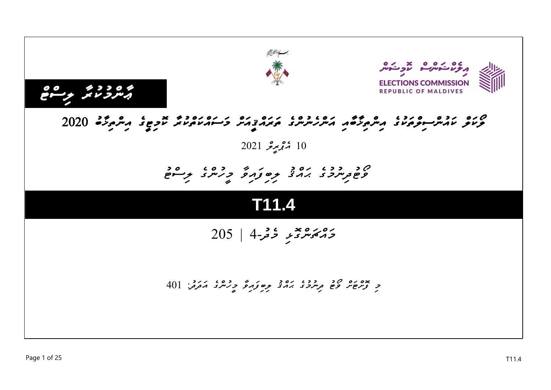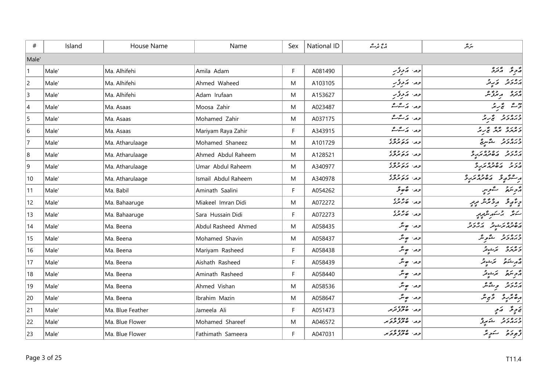| #              | Island | House Name       | Name                | Sex         | National ID | ، ه ، ره<br>مره برگ                                | ىئرىتر                                           |
|----------------|--------|------------------|---------------------|-------------|-------------|----------------------------------------------------|--------------------------------------------------|
| Male'          |        |                  |                     |             |             |                                                    |                                                  |
| 1              | Male'  | Ma. Alhifehi     | Amila Adam          | F           | A081490     | وە بە ئوتۇر                                        | أثرى أرده                                        |
| 2              | Male'  | Ma. Alhifehi     | Ahmed Waheed        | M           | A103105     | دە بە ئوتۇر                                        | دەر د پر د                                       |
| $ 3\rangle$    | Male'  | Ma. Alhifehi     | Adam Irufaan        | M           | A153627     | دە بە ئەبەدىر                                      | أثروه أرومي                                      |
| $\vert 4$      | Male'  | Ma. Asaas        | Moosa Zahir         | ${\sf M}$   | A023487     | رە. ئەشەشە                                         | لرحمش تجربته                                     |
| $\overline{5}$ | Male'  | Ma. Asaas        | Mohamed Zahir       | ${\sf M}$   | A037175     | دە. ئەشەھ                                          | ورەرو ئېرىر                                      |
| $\overline{6}$ | Male'  | Ma. Asaas        | Mariyam Raya Zahir  | F           | A343915     | حەر بە ئەس <sup>ت</sup> ەپ                         |                                                  |
| 7              | Male'  | Ma. Atharulaage  | Mohamed Shaneez     | M           | A101729     | גנ בכבי<br>בני נמיד בבי                            | ورەرو شەرى                                       |
| 8              | Male'  | Ma. Atharulaage  | Ahmed Abdul Raheem  | ${\sf M}$   | A128521     | גג בים<br>כני נמפיניבצ                             | נפנד נפרסנים                                     |
| 9              | Male'  | Ma. Atharulaage  | Umar Abdul Raheem   | ${\sf M}$   | A340977     | גנ ביט<br>כני נמצא ביט                             | ور و ده وه دره                                   |
| 10             | Male'  | Ma. Atharulaage  | Ismail Abdul Raheem | M           | A340978     | גנ ביט<br>כני נמצא ביט                             | ر مؤثر و دورور و                                 |
| 11             | Male'  | Ma. Babil        | Aminath Saalini     | F           | A054262     | رړ ځوگو                                            | ۇرىئە شوپر<br>م                                  |
| 12             | Male'  | Ma. Bahaaruge    | Miakeel Imran Didi  | M           | A072272     | ر د ه د د د<br>وړ ۰ ه تر بور                       | ويثمر ومروجه ومر                                 |
| 13             | Male'  | Ma. Bahaaruge    | Sara Hussain Didi   | F           | A072273     | ر د ه رو د .<br>د د ان ه ر                         | سىر ئەسىر شەرىر                                  |
| 14             | Male'  | Ma. Beena        | Abdul Rasheed Ahmed | M           | A058435     | در. ھ <i>ي</i> ڙ                                   | גם כם גבור גם גב<br>גם <i>נקרא ביי</i> פיל גגבינ |
| 15             | Male'  | Ma. Beena        | Mohamed Shavin      | M           | A058437     | ا در ما میگر<br>سطح                                | ورەرو شەھ ش                                      |
| 16             | Male'  | Ma. Beena        | Mariyam Rasheed     | F           | A058438     | در. ھ <i>ي</i> ڙ                                   | ویروز پرشونر                                     |
| 17             | Male'  | Ma. Beena        | Aishath Rasheed     | $\mathsf F$ | A058439     | در. ھ <i>ي</i> ڙ                                   | و<br>المكهر مشكور مستحدثه                        |
| 18             | Male'  | Ma. Beena        | Aminath Rasheed     | $\mathsf F$ | A058440     | اور موسر<br>ا                                      | أترم يتركم التم المحمد                           |
| 19             | Male'  | Ma. Beena        | Ahmed Vishan        | M           | A058536     | در. ھ <i>ي</i> ڙ                                   | رەرد جشگر                                        |
| 20             | Male'  | Ma. Beena        | Ibrahim Mazin       | M           | A058647     | در. چېگ                                            | أرە ئۆر ئىس ئى                                   |
| 21             | Male'  | Ma. Blue Feather | Jameela Ali         | $\mathsf F$ | A051473     | و در ۲۶۶۶<br>وړ ۰ ه مخونو تر پر                    | يَ حٍ عِنْ = رَ حِي                              |
| 22             | Male'  | Ma. Blue Flower  | Mohamed Shareef     | M           | A046572     | ە دە ە دە دىر<br><i>دە</i> · ھىزى <i>ۋى</i> ر      |                                                  |
| 23             | Male'  | Ma. Blue Flower  | Fathimath Sameera   | F           | A047031     | 020 0 مار<br><i>د</i> ړ ک ه <del>تر ت</del> ر څرند | و دو سکوند                                       |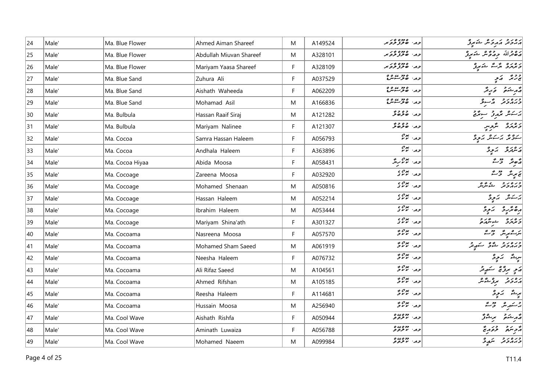| 24           | Male' | Ma. Blue Flower | Ahmed Aiman Shareef     | M           | A149524 | ە دە ە دەر.<br><i>دە</i> · ھ <i>وۋ</i> ىۋىر                                                                                  | أرود تمارى المستمرة                                              |
|--------------|-------|-----------------|-------------------------|-------------|---------|------------------------------------------------------------------------------------------------------------------------------|------------------------------------------------------------------|
| 25           | Male' | Ma. Blue Flower | Abdullah Miuvan Shareef | M           | A328101 | ם כבם שן.<br>כני <b>שי<i>יציבי</i>ת</b>                                                                                      | رە داللە جەمۇمىر ھەمرو                                           |
| 26           | Male' | Ma. Blue Flower | Mariyam Yaasa Shareef   | F           | A328109 | ە دە ە دەر<br><i>دە</i> · ھ <i>وۋ</i> ىۋىر                                                                                   | ر 2010 م م شرکت شهر ده<br>و بورو بورگ شهر د                      |
| 27           | Male' | Ma. Blue Sand   | Zuhura Ali              | F           | A037529 |                                                                                                                              | ة جميعة المجمع                                                   |
| 28           | Male' | Ma. Blue Sand   | Aishath Waheeda         | $\mathsf F$ | A062209 | دە. ھۈسىمبى<br>دە. ھۈسىمبى                                                                                                   | وكرشكا وكرفر                                                     |
| 29           | Male' | Ma. Blue Sand   | Mohamad Asil            | M           | A166836 | و د ه دوم ده ه و ه<br>ور ۰ ه موسسوس                                                                                          | ورەرو ئەسىۋ                                                      |
| 30           | Male' | Ma. Bulbula     | Hassan Raaif Siraj      | M           | A121282 | وړ . ه ده دي<br>ور . ه ده د                                                                                                  | ىرىكىش بۇرۇ سوپۇقى                                               |
| 31           | Male' | Ma. Bulbula     | Mariyam Nalinee         | F           | A121307 | وړ ه ده د                                                                                                                    | ر درو گر <sub>وس</sub><br>د <i>بر</i> ود گروس<br>سوړ برسرگر بروه |
| 32           | Male' | Ma. Cocoa       | Samra Hassan Haleem     | F           | A056793 | $\overset{\mathcal{O}}{\nu}\overset{\varkappa}{\nu}$ . Az                                                                    |                                                                  |
| 33           | Male' | Ma. Cocoa       | Andhala Haleem          | $\mathsf F$ | A363896 | בו. על                                                                                                                       | پر مربری   بر بر و                                               |
| 34           | Male' | Ma. Cocoa Hiyaa | Abida Moosa             | F           | A058431 | حەر سىم ئەرەر<br>جەر سىم ئىرىدىش                                                                                             | أرجم فرائح المستمر                                               |
| 35           | Male' | Ma. Cocoage     | Zareena Moosa           | F           | A032920 | $\frac{1}{2}$                                                                                                                | ىم پرېتر اوجاگ                                                   |
| 36           | Male' | Ma. Cocoage     | Mohamed Shenaan         | M           | A050816 | $\frac{c}{s}$                                                                                                                | ورەرو ئەشرىر                                                     |
| 37           | Male' | Ma. Cocoage     | Hassan Haleem           | M           | A052214 | בוגי מעיבי<br>כוגי מעיבי                                                                                                     | يزخلا الزلوق                                                     |
| 38           | Male' | Ma. Cocoage     | Ibrahim Haleem          | M           | A053444 | בוגי מעיבי<br>כוגי מעיבי                                                                                                     | رەپرىر بەرد                                                      |
| 39           | Male' | Ma. Cocoage     | Mariyam Shina'ath       | $\mathsf F$ | A301327 | $\frac{c}{s}$                                                                                                                | ر ور و شوشهر و<br>5 برابرد شوشهره                                |
| 40           | Male' | Ma. Cocoama     | Nasreena Moosa          | F           | A057570 | בוגי מטרב                                                                                                                    | تركوبرنكر المحرك                                                 |
| 41           | Male' | Ma. Cocoama     | Mohamed Sham Saeed      | M           | A061919 | $\overset{\circ}{\mathcal{I}}\overset{\mathcal{C}}{\mathcal{V}}\overset{\mathcal{L}}{\mathcal{V}}\cdot\varLambda\mathcal{I}$ | ورەرو ھەق سەمبەر                                                 |
| 42           | Male' | Ma. Cocoama     | Neesha Haleem           | F           | A076732 | $200 - 12$                                                                                                                   | سرینگ بروه<br>برینگ بروه<br>برو بروهی کروه                       |
| $ 43\rangle$ | Male' | Ma. Cocoama     | Ali Rifaz Saeed         | M           | A104561 | وړ ، ۱۶۷                                                                                                                     |                                                                  |
| 44           | Male' | Ma. Cocoama     | Ahmed Rifshan           | M           | A105185 | $\overset{\circ}{\mathcal{I}}\overset{\mathcal{O}\varkappa}{\mathcal{V}}\cdot$ 17                                            | رەرد برۇ <u>ش</u> تر                                             |
| 45           | Male' | Ma. Cocoama     | Reesha Haleem           | F           | A114681 | בוגי מטרב                                                                                                                    | ىرىگە كەبرۇ                                                      |
| 46           | Male' | Ma. Cocoama     | Hussain Moosa           | M           | A256940 | وړ ، ۱۶۷                                                                                                                     | برسكربر وحمشة                                                    |
| 47           | Male' | Ma. Cool Wave   | Aishath Rishfa          | F           | A050944 | وەر بەدە يەە<br>39. مەمرى                                                                                                    | د د شو موشورم<br>م                                               |
| 48           | Male' | Ma. Cool Wave   | Aminath Luwaiza         | F           | A056788 | כ <i>ו יי</i> יש כי<br>כו י י יש כי פ                                                                                        | أأدبتهم ودارة                                                    |
| 49           | Male' | Ma. Cool Wave   | Mohamed Naeem           | M           | A099984 | כו <i>גי מיכ</i> שים<br>כו <i>גי מיכ</i> פים                                                                                 | ورەرو شھرى                                                       |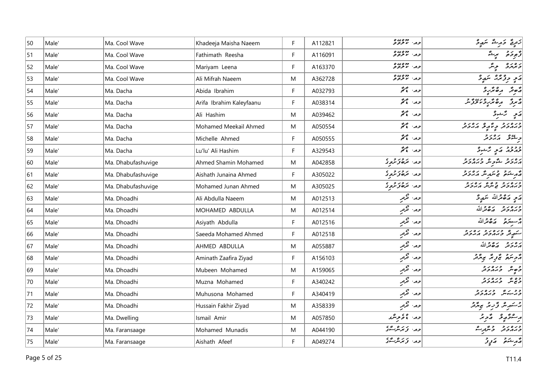| 50 | Male' | Ma. Cool Wave      | Khadeeja Maisha Naeem    | F         | A112821 | وه ۲۰ وه ده ه<br>د ۲۰ و سورو                            | كَتَرِيعٌ - وَمَرِيشٌ - سَمَدٍ وَ                                                                                                                                                                                                    |
|----|-------|--------------------|--------------------------|-----------|---------|---------------------------------------------------------|--------------------------------------------------------------------------------------------------------------------------------------------------------------------------------------------------------------------------------------|
| 51 | Male' | Ma. Cool Wave      | Fathimath Reesha         | F         | A116091 | 0 دوه ۵ <i>۰</i><br>وه ۲ مولولو                         | و المع الله عن الله عنه المحمد و المحمد المحمد المحمد المحمد و الله عنه الله الله عنه الله الله عنه<br>المحمد المحمد المحمد المحمد المحمد المحمد السياسية المحمد المحمد الله عنه الله عنه الله عنه الله عنه الله عنه<br>المحمد المحم |
| 52 | Male' | Ma. Cool Wave      | Mariyam Leena            | F         | A163370 | כו <i>גי מיכ</i> שים<br>כו <i>גי מיכ</i> פים            | $rac{1}{2}$                                                                                                                                                                                                                          |
| 53 | Male' | Ma. Cool Wave      | Ali Mifrah Naeem         | M         | A362728 | כ <i>ח</i> י מיכשים<br>כחי מיכפים                       | مو وو پره شمړه                                                                                                                                                                                                                       |
| 54 | Male' | Ma. Dacha          | Abida Ibrahim            | F         | A032793 | ور گاگا                                                 | رٌه تَرَ                                                                                                                                                                                                                             |
| 55 | Male' | Ma. Dacha          | Arifa Ibrahim Kaleyfaanu | F         | A038314 | ور گاگا                                                 | ەتىرىق                                                                                                                                                                                                                               |
| 56 | Male' | Ma. Dacha          | Ali Hashim               | M         | A039462 | ور مجگو                                                 | أرتمني المتحددة                                                                                                                                                                                                                      |
| 57 | Male' | Ma. Dacha          | Mohamed Meekail Ahmed    | M         | A050554 | $\frac{2}{5}$ $\frac{2}{5}$ $\frac{2}{5}$ $\frac{2}{5}$ | ورورو ويمرو رورو                                                                                                                                                                                                                     |
| 58 | Male' | Ma. Dacha          | Michelle Ahmed           | F         | A050555 | ور مجمج                                                 | ويشو برەر د                                                                                                                                                                                                                          |
| 59 | Male' | Ma. Dacha          | Lu'lu' Ali Hashim        | F         | A329543 | $\tilde{z}$ : 12                                        | ودود كمي رئيده                                                                                                                                                                                                                       |
| 60 | Male' | Ma. Dhabufashuviqe | Ahmed Shamin Mohamed     | M         | A042858 | د در دره دره<br>در مره و گرو                            | ره رو شویر وبرورو                                                                                                                                                                                                                    |
| 61 | Male' | Ma. Dhabufashuvige | Aishath Junaina Ahmed    | F         | A305022 | وړ٠ تره تر تره د                                        | أو مشخص في سمير شرك مركز و المستخدم المستخدم المستخدم المستخدم المستخدم المستخدم المستخدم المستخدم المستخدم ال                                                                                                                       |
| 62 | Male' | Ma. Dhabufashuvige | Mohamed Junan Ahmed      | ${\sf M}$ | A305025 | وړ ورو د<br>وړ تره ترج                                  | وره رو و ده ده رو رو<br>وبرورونو في سرس وبرونو                                                                                                                                                                                       |
| 63 | Male' | Ma. Dhoadhi        | Ali Abdulla Naeem        | M         | A012513 | احد محمو                                                | أرجح وكافترالله تترويح                                                                                                                                                                                                               |
| 64 | Male' | Ma. Dhoadhi        | MOHAMED ABDULLA          | M         | A012514 | احدس فكعر                                               | ورەرو رەقراللە                                                                                                                                                                                                                       |
| 65 | Male' | Ma. Dhoadhi        | Asiyath Abdulla          | F         | A012516 | ا وه .<br>احمد . فوفر                                   | وسنترض وكافرالله                                                                                                                                                                                                                     |
| 66 | Male' | Ma. Dhoadhi        | Saeeda Mohamed Ahmed     | F         | A012518 | حەر مىھىيە                                              | شهر پژوره ده د و                                                                                                                                                                                                                     |
| 67 | Male' | Ma. Dhoadhi        | AHMED ABDULLA            | M         | A055887 | اور. فرگر                                               | أروره رودالله                                                                                                                                                                                                                        |
| 68 | Male' | Ma. Dhoadhi        | Aminath Zaafira Ziyad    | F         | A156103 | وړ گومړ                                                 | أزويتم تأويثه بإرادته                                                                                                                                                                                                                |
| 69 | Male' | Ma. Dhoadhi        | Mubeen Mohamed           | M         | A159065 | ور. نژیر                                                |                                                                                                                                                                                                                                      |
| 70 | Male' | Ma. Dhoadhi        | Muzna Mohamed            | F         | A340242 | وړ کومو                                                 | وه دره دره                                                                                                                                                                                                                           |
| 71 | Male' | Ma. Dhoadhi        | Muhusona Mohamed         | F         | A340419 | وړ کومو                                                 | وو ره دورود<br>ورستمبر وبرماوتر                                                                                                                                                                                                      |
| 72 | Male' | Ma. Dhoadhi        | Hussain Fakhir Ziyad     | ${\sf M}$ | A358339 | وړ٤ قرمرٍ                                               | بزسكر مثر ومحر بحر بنج وترفد                                                                                                                                                                                                         |
| 73 | Male' | Ma. Dwelling       | Ismail Amir              | ${\sf M}$ | A057850 | حەربە قۇمۇشمە                                           | بر عۇيرۇ ھەرىر                                                                                                                                                                                                                       |
| 74 | Male' | Ma. Faransaage     | Mohamed Munadis          | M         | A044190 | وړ٠ وَ بر ۵ پر په                                       | ورەرو وشرك                                                                                                                                                                                                                           |
| 75 | Male' | Ma. Faransaage     | Aishath Afeef            | F         | A049274 | وە · ئى ئىر شرىقى                                       | وكركاهي وكالمحلي وكالمحمد                                                                                                                                                                                                            |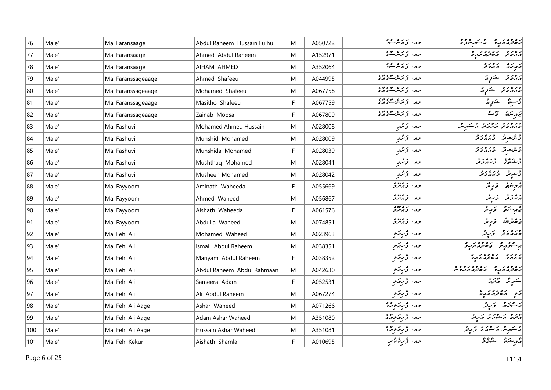| 76  | Male' | Ma. Faransaage     | Abdul Raheem Hussain Fulhu | M           | A050722 | دە. بۇ ئەر ئەمى                           | נפכפת כ"גורית בי                             |
|-----|-------|--------------------|----------------------------|-------------|---------|-------------------------------------------|----------------------------------------------|
| 77  | Male' | Ma. Faransaage     | Ahmed Abdul Raheem         | M           | A152971 | <i>دە.   ۆترىگرىشى</i>                    | رور د دووه در و                              |
| 78  | Male' | Ma. Faransaage     | AIHAM AHMED                | M           | A352064 | وە · ئەنترىش-ئ                            | أتهركري المركز ورد                           |
| 79  | Male' | Ma. Faranssageaage | Ahmed Shafeeu              | M           | A044995 | وړ٠ ز ټر شرعي دي                          | دەر د سكوپەر                                 |
| 80  | Male' | Ma. Faranssageaage | Mohamed Shafeeu            | M           | A067758 | وړ٠ ز تر شرعي دي                          | ورەر دېم دېم                                 |
| 81  | Male' | Ma. Faranssageaage | Masitho Shafeeu            | F           | A067759 | در در ۵ بر ۵ بر ۵<br>در زیر س             | أَوَّ سِمَّ شَوَرٍ مُ                        |
| 82  | Male' | Ma. Faranssageaage | Zainab Moosa               | F           | A067809 | وړ٠ ز پرس <sup>و</sup> ر ده د             | ى ئىر ئىشى ھەم ئىس                           |
| 83  | Male' | Ma. Fashuvi        | Mohamed Ahmed Hussain      | M           | A028008 | در کو ترهِ                                | ورەرو رەرو ويركبر                            |
| 84  | Male' | Ma. Fashuvi        | Munshid Mohamed            | M           | A028009 | در کو ترهِ                                | وهرسور وبروبرو                               |
| 85  | Male' | Ma. Fashuvi        | Munshida Mohamed           | F           | A028039 | وړ٤ کړېږ                                  | وه وره دره<br>وسرشینگ وبرماونر               |
| 86  | Male' | Ma. Fashuvi        | Mushthaq Mohamed           | M           | A028041 | دە. ئەترەپ                                | و و پور ور و د<br>تر شوی و تر تر تر          |
| 87  | Male' | Ma. Fashuvi        | Musheer Mohamed            | M           | A028042 | دە. ئەترەپ                                |                                              |
| 88  | Male' | Ma. Fayyoom        | Aminath Waheeda            | F           | A055669 | ג ס בכס<br><i>ב</i> וגי צ'ו <i>ג</i> וב   | أأروسكم وكبيته                               |
| 89  | Male' | Ma. Fayyoom        | Ahmed Waheed               | M           | A056867 | ג ס בכס<br><i>ב</i> וגי צ'ו <i>ג</i> וב   | رەر ئەر ئەر<br>مەركىرا ئ                     |
| 90  | Male' | Ma. Fayyoom        | Aishath Waheeda            | F           | A061576 | ג ס בכס<br><i>ב</i> וגי צ'ו <i>ג</i> וב   | أمر مرتكز وكرفر                              |
| 91  | Male' | Ma. Fayyoom        | Abdulla Waheed             | M           | A074851 | ג ס בכס<br><i>ב</i> וגי <sub>צ</sub> ג חב | يرەقراللە ئەبرىتر                            |
| 92  | Male' | Ma. Fehi Ali       | Mohamed Waheed             | M           | A023963 | در و در د                                 | ورەر دىر د                                   |
| 93  | Male' | Ma. Fehi Ali       | Ismail Abdul Raheem        | M           | A038351 | دە. ئەرەئىيە                              | م شوځ ده ده ده د ه                           |
| 94  | Male' | Ma. Fehi Ali       | Mariyam Abdul Raheem       | F           | A038352 | دە. ئېرمەر                                | נים נים ניסים נים                            |
| 95  | Male' | Ma. Fehi Ali       | Abdul Raheem Abdul Rahmaan | M           | A042630 | در و در د                                 | נס כסנים נספס נספס<br>השנה הנבריה משנה הנבית |
| 96  | Male' | Ma. Fehi Ali       | Sameera Adam               | $\mathsf F$ | A052531 | دە . ئې پەرىج                             | سەر پە ئەندۇ                                 |
| 97  | Male' | Ma. Fehi Ali       | Ali Abdul Raheem           | M           | A067274 | --- د درېږ                                | د ده ده در و                                 |
| 98  | Male' | Ma. Fehi Ali Aage  | Ashar Waheed               | M           | A071266 | در و بروگر                                | أرعائه وكالمحمد                              |
| 99  | Male' | Ma. Fehi Ali Aage  | Adam Ashar Waheed          | M           | A351080 | בו צ'קה בהל                               |                                              |
| 100 | Male' | Ma. Fehi Ali Aage  | Hussain Ashar Waheed       | M           | A351081 | در و بروگر                                | چە سەر شەھەر بىر ئەسىر ئەر بىر               |
| 101 | Male' | Ma. Fehi Kekuri    | Aishath Shamla             | F.          | A010695 | در و را ما مر                             | ۇرىشۇ شۇرۇ                                   |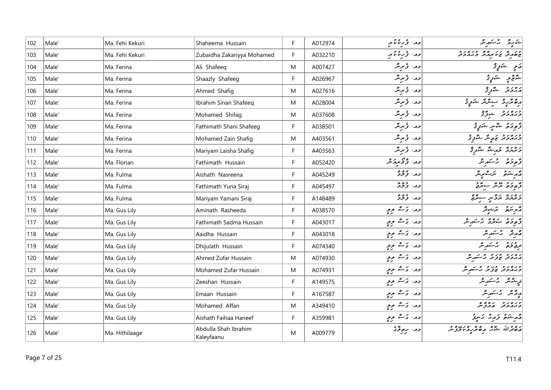| 102 | Male' | Ma. Fehi Kekuri | Shaheema Hussain                   | F  | A012974 | در. ۇرغىقمە        | شەرىخ ئەسەملىر                                                   |
|-----|-------|-----------------|------------------------------------|----|---------|--------------------|------------------------------------------------------------------|
| 103 | Male' | Ma. Fehi Kekuri | Zubaidha Zakariyya Mohamed         | F  | A032210 | دە. بۇرغۇمبر       | 2010 של איתרית כמתכת                                             |
| 104 | Male' | Ma. Ferina      | Ali Shafeeq                        | M  | A007427 | در ۰ ژبریگر        | أقدمي المستويي                                                   |
| 105 | Male' | Ma. Ferina      | Shaazly Shafeeg                    | F  | A026967 | در. ۇىرىگە         | شَرْجْ مِنْ مِنْ وَلَا                                           |
| 106 | Male' | Ma. Ferina      | Ahmed Shafig                       | M  | A027616 | درېستو سرینګر      | رەر ئەربى                                                        |
| 107 | Male' | Ma. Ferina      | Ibrahim Sinan Shafeeq              | M  | A028004 | دە. ئۈمەيىگە       | ە ئەرە سومۇرى خورچ                                               |
| 108 | Male' | Ma. Ferina      | Mohamed Shifaq                     | M  | A037608 | دە. ئۈمرىگە        | ورەرو شوگرى                                                      |
| 109 | Male' | Ma. Ferina      | Fathimath Shani Shafeeg            | F  | A038501 | دە. ئەبرىتر        | أَرْجُودَةٌ ۚ شَاسٍ شَرَرٍ وَٓ                                   |
| 110 | Male' | Ma. Ferina      | Mohamed Zain Shafig                | M  | A403561 | دە. ئەبرىتر        | ورورو پړېد ځرو                                                   |
| 111 | Male' | Ma. Ferina      | Mariyam Laisha Shafig              | F  | A403563 | در. ۇىرىد          | دەرو ئەرىشە ئۇرقى                                                |
| 112 | Male' | Ma. Florian     | Fathimath Hussain                  | F  | A052420 | جەر بۇ ئۇ ئىرىمىگە | توجوجو برسمه شر                                                  |
| 113 | Male' | Ma. Fulma       | Aishath Nasreena                   | F  | A045249 | وړ ژود             | قەرشۇق سىرسىرىتى                                                 |
| 114 | Male' | Ma. Fulma       | Fathimath Yuna Siraj               | F  | A045497 | دەر ، ۋوڭ          | أقرار والمحتمد المستقبض                                          |
| 115 | Male' | Ma. Fulma       | Mariyam Yamani Siraj               | F  | A148489 | وړ ژود             | د ۱۵ د مرگه په سوټرم                                             |
| 116 | Male' | Ma. Gus Lily    | Aminath Rasheeda                   | F  | A038570 | درڪ وڻ             | أترجر تتركم تحريبكم                                              |
| 117 | Male' | Ma. Gus Lily    | Fathimath Sadma Hussain            | F  | A043017 | در کام دو          | تحجيز والمروثة المراشر المراشر                                   |
| 118 | Male' | Ma. Gus Lily    | Aaidha Hussain                     | F  | A043018 | درس کا دو          | ە ئەر ئەر ئەسكەر بىر                                             |
| 119 | Male' | Ma. Gus Lily    | Dhijulath Hussain                  | F. | A074340 | درس کا دو          | قريع قرص بركستهريش                                               |
| 120 | Male' | Ma. Gus Lily    | Ahmed Zufar Hussain                | M  | A074930 | در، کام وو         | ره رو ورو وريده                                                  |
| 121 | Male' | Ma. Gus Lily    | Mohamed Zufar Hussain              | M  | A074931 | در کام وو          | ورەرو وروپرىكەر                                                  |
| 122 | Male' | Ma. Gus Lily    | Zeeshan Hussain                    | F  | A149575 | در کرے وو          | انړىقىش كارىسر                                                   |
| 123 | Male' | Ma. Gus Lily    | Emaan Hussain                      | F  | A167587 | درس کا دو          | أروحه برستهر مر                                                  |
| 124 | Male' | Ma. Gus Lily    | Mohamed Affan                      | M  | A349410 | در کام دو          | ورەرو رەپەە                                                      |
| 125 | Male' | Ma. Gus Lily    | Aishath Faihaa Haneef              | F  | A359981 | در کام وو          | وأرخكم وكرك كالبر                                                |
| 126 | Male' | Ma. Hithilaage  | Abdulla Shah Ibrahim<br>Kaleyfaanu | M  | A009779 | در روځه            | رە داللە ئەرەبە ھەرەر دەرەر<br>مەھىراللە ئەرەبەھ مەرىر مەمۇرىلىر |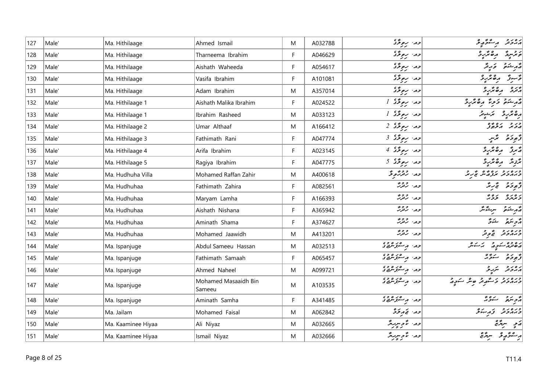| 127 | Male' | Ma. Hithilaage     | Ahmed Ismail                   | M           | A032788 | دړې ره دی                                                                                                                                                                                                                                                                                                                                                                            | ړ ور د سر عرم کړ             |
|-----|-------|--------------------|--------------------------------|-------------|---------|--------------------------------------------------------------------------------------------------------------------------------------------------------------------------------------------------------------------------------------------------------------------------------------------------------------------------------------------------------------------------------------|------------------------------|
| 128 | Male' | Ma. Hithilaage     | Tharneema Ibrahim              | F           | A046629 | وړ٠ ره دي.<br> -                                                                                                                                                                                                                                                                                                                                                                     |                              |
| 129 | Male' | Ma. Hithilaage     | Aishath Waheeda                | F           | A054617 | دە بەۋدى                                                                                                                                                                                                                                                                                                                                                                             |                              |
| 130 | Male' | Ma. Hithilaage     | Vasifa Ibrahim                 | F           | A101081 | ره روژه<br>در روژه                                                                                                                                                                                                                                                                                                                                                                   | رەپزىر<br>ۇ سورم<br>س        |
| 131 | Male' | Ma. Hithilaage     | Adam Ibrahim                   | M           | A357014 | دە بەۋدى                                                                                                                                                                                                                                                                                                                                                                             | وره مقترع                    |
| 132 | Male' | Ma. Hithilaage 1   | Aishath Malika Ibrahim         | F           | A024522 | دە. سوڭۇ 1                                                                                                                                                                                                                                                                                                                                                                           |                              |
| 133 | Male' | Ma. Hithilaage 1   | Ibrahim Rasheed                | M           | A033123 | $\frac{1}{1} \frac{2}{3} \frac{1}{2} \frac{1}{2}$                                                                                                                                                                                                                                                                                                                                    | رەتزىر ترىنوتر               |
| 134 | Male' | Ma. Hithilaage 2   | Umar Althaaf                   | M           | A166412 | $\overline{2\,\,3\,\,3\,\,2\,\,7}$ ده.                                                                                                                                                                                                                                                                                                                                               |                              |
| 135 | Male' | Ma. Hithilaage 3   | Fathimath Rani                 | F           | A047774 | $\frac{3}{3}$ $\frac{69}{27}$ $\frac{1}{2}$                                                                                                                                                                                                                                                                                                                                          | ۇي <sub>م</sub> وخۇ ئېرىپ    |
| 136 | Male' | Ma. Hithilaage 4   | Arifa Ibrahim                  | F           | A023145 | حەر سەۋۇ 4                                                                                                                                                                                                                                                                                                                                                                           | أوسرقه وحسرو                 |
| 137 | Male' | Ma. Hithilaage 5   | Ragiya Ibrahim                 | F           | A047775 | $\overline{5}$ $\overline{5}$ $\overline{5}$ $\overline{5}$ $\overline{5}$ $\overline{5}$ $\overline{5}$ $\overline{5}$ $\overline{5}$ $\overline{5}$ $\overline{5}$ $\overline{5}$ $\overline{5}$ $\overline{5}$ $\overline{5}$ $\overline{5}$ $\overline{5}$ $\overline{5}$ $\overline{5}$ $\overline{5}$ $\overline{5}$ $\overline{5}$ $\overline{5}$ $\overline{5}$ $\overline{$ | برٌ <sub>ق</sub> ر مع بره بر |
| 138 | Male' | Ma. Hudhuha Villa  | Mohamed Raffan Zahir           | M           | A400618 | وړ٤ رتورترو تر                                                                                                                                                                                                                                                                                                                                                                       | ورەرو رەپەە پەرتە            |
| 139 | Male' | Ma. Hudhuhaa       | Fathimath Zahira               | F           | A082561 | أوە بەر رەپىر                                                                                                                                                                                                                                                                                                                                                                        | قهوخوه تمريته                |
| 140 | Male' | Ma. Hudhuhaa       | Maryam Lamha                   | F.          | A166393 | وړ رود                                                                                                                                                                                                                                                                                                                                                                               | ره ره ده و                   |
| 141 | Male' | Ma. Hudhuhaa       | Aishath Nishana                | F.          | A365942 | وە - رُتورٌ                                                                                                                                                                                                                                                                                                                                                                          | ۇرشۇ سېشىگە                  |
| 142 | Male' | Ma. Hudhuhaa       | Aminath Shama                  | F           | A374627 | وړ رود                                                                                                                                                                                                                                                                                                                                                                               | أترجر تتمر                   |
| 143 | Male' | Ma. Hudhuhaa       | Mohamed Jaawidh                | M           | A413201 | وړ رود                                                                                                                                                                                                                                                                                                                                                                               | ورەرو ئەدىر                  |
| 144 | Male' | Ma. Ispanjuge      | Abdul Sameeu Hassan            | M           | A032513 | در ۱۰ در ۱۰ و د پ                                                                                                                                                                                                                                                                                                                                                                    | גפנגלקב גלית                 |
| 145 | Male' | Ma. Ispanjuge      | Fathimath Samaah               | $\mathsf F$ | A065457 | در مرگزمون                                                                                                                                                                                                                                                                                                                                                                           | و ده سرور                    |
| 146 | Male' | Ma. Ispanjuge      | Ahmed Naheel                   | M           | A099721 | در مرگزمرج د                                                                                                                                                                                                                                                                                                                                                                         | ىرەر ئىرىرى                  |
| 147 | Male' | Ma. Ispanjuge      | Mohamed Masaaidh Bin<br>Sameeu | M           | A103535 | در. رقبوسهم                                                                                                                                                                                                                                                                                                                                                                          | כמחכת כי תוכל סית הפה        |
| 148 | Male' | Ma. Ispanjuge      | Aminath Samha                  | F           | A341485 | در ۱۰ در ۱۰ و د ۲                                                                                                                                                                                                                                                                                                                                                                    | ړې شره ده د                  |
| 149 | Male' | Ma. Jailam         | Mohamed Faisal                 | M           | A062842 | دە. ئەرىخى                                                                                                                                                                                                                                                                                                                                                                           | ورەرو ۋەبىكى                 |
| 150 | Male' | Ma. Kaaminee Hiyaa | Ali Niyaz                      | M           | A032665 |                                                                                                                                                                                                                                                                                                                                                                                      | أوسمج المعرضي                |
| 151 | Male' | Ma. Kaaminee Hiyaa | Ismail Niyaz                   | M           | A032666 |                                                                                                                                                                                                                                                                                                                                                                                      | و شرقه و سرقه                |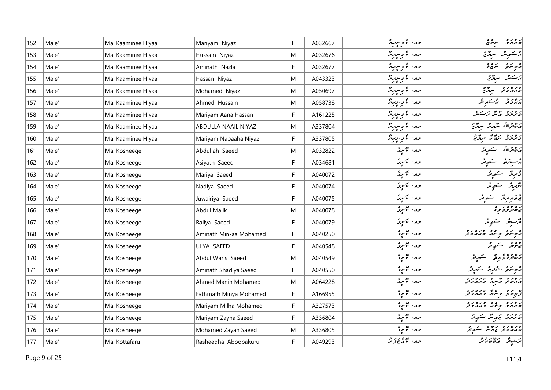| 152 | Male' | Ma. Kaaminee Hiyaa | Mariyam Niyaz          | F           | A032667 | حەر، ئۇچ ئېرىدىگە<br>ئىستىمىز ئەرەر  | ر ه پر ه<br>تر <i>بر</i> بر<br>سرگرمج                                                                                                                                                                                            |
|-----|-------|--------------------|------------------------|-------------|---------|--------------------------------------|----------------------------------------------------------------------------------------------------------------------------------------------------------------------------------------------------------------------------------|
| 153 | Male' | Ma. Kaaminee Hiyaa | Hussain Niyaz          | M           | A032676 | בו. על תגור.<br>תו                   | سرگرمج<br>جر س <sub>ک</sub> ر میں<br>م                                                                                                                                                                                           |
| 154 | Male' | Ma. Kaaminee Hiyaa | Aminath Nazla          | $\mathsf F$ | A032677 | בו ילך ייתוח                         | سرە ئۇ<br>أرمز                                                                                                                                                                                                                   |
| 155 | Male' | Ma. Kaaminee Hiyaa | Hassan Niyaz           | M           | A043323 |                                      | برسەيىتە<br>سرگرم                                                                                                                                                                                                                |
| 156 | Male' | Ma. Kaaminee Hiyaa | Mohamed Niyaz          | M           | A050697 | وړ٠ نۀ د سربر پر                     | و رە ر د<br>تر پر تر تر<br>سرگرمج                                                                                                                                                                                                |
| 157 | Male' | Ma. Kaaminee Hiyaa | Ahmed Hussain          | M           | A058738 | בו. "תבייגות"<br>ה                   | رەرو جەسەر                                                                                                                                                                                                                       |
| 158 | Male' | Ma. Kaaminee Hiyaa | Mariyam Aana Hassan    | F           | A161225 | وړ٠ نۀ د سربه پر<br>د پ              | رەرە پەيز بەسە                                                                                                                                                                                                                   |
| 159 | Male' | Ma. Kaaminee Hiyaa | ABDULLA NAAIL NIYAZ    | M           | A337804 | وړ٠ ناو سربه د                       | رَةَ قَدَاللَّهُ مَّدْرِ مِنْ سِرَّجْ                                                                                                                                                                                            |
| 160 | Male' | Ma. Kaaminee Hiyaa | Mariyam Nabaaha Niyaz  | F           | A337805 | وړ٠ نۀ د سربر پر<br>د پ              | גם גם גובל תחתים                                                                                                                                                                                                                 |
| 161 | Male' | Ma. Kosheege       | Abdullah Saeed         | M           | A032822 | حەر. سىم يې <sub>دى</sub><br>مەرجىسى | أرة مرالله كسور                                                                                                                                                                                                                  |
| 162 | Male' | Ma. Kosheege       | Asiyath Saeed          | F           | A034681 | حەر بىيىتى تەرىجى<br>مەركە ئىس       | المسور من المعرور المحمد المحمد المحمد المسابقة المحمد المسابقة المحمد المحمد المحمد المحمد المحمد المحمد المح<br>المحمد المحمد المحمد المحمد المحمد المحمد المحمد المحمد المحمد المحمد المحمد المحمد المحمد المحمد المحمد المحم |
| 163 | Male' | Ma. Kosheege       | Mariya Saeed           | $\mathsf F$ | A040072 | وړ٠ متمري<br>در٠ متمري               | وحمر پڑ<br>سەمەتىر                                                                                                                                                                                                               |
| 164 | Male' | Ma. Kosheege       | Nadiya Saeed           | $\mathsf F$ | A040074 | حەر، سىم بىرى<br>مەربە               | شرور میگردد.<br>سرمرش سکورمر                                                                                                                                                                                                     |
| 165 | Male' | Ma. Kosheege       | Juwairiya Saeed        | F           | A040075 | حەر بېمىرى<br>مەربەت                 | ور<br>د کاربرگر سکھیٹر                                                                                                                                                                                                           |
| 166 | Male' | Ma. Kosheege       | <b>Abdul Malik</b>     | M           | A040078 | حەر. سىم يەرى<br>مەرجىسى             | ره وه ر<br>مان فرنز د بر                                                                                                                                                                                                         |
| 167 | Male' | Ma. Kosheege       | Raliya Saeed           | F           | A040079 | حەر بىم بىرى<br>مەر ئىم بىرى         | نگرىنىد <i>ۇ سەمبەت</i> ر                                                                                                                                                                                                        |
| 168 | Male' | Ma. Kosheege       | Aminath Min-aa Mohamed | F           | A040250 | حەر بىم بىرى<br>مەر ئىم بىرى         | 22012 - 20 2005 - 2007 - 2007 - 2007 - 2007 - 2007 - 2007 - 2008 - 2008 - 2008 - 2008 - 2008 - 2008 - 2008 - 2<br>הקייטה ביטה במחידת                                                                                             |
| 169 | Male' | Ma. Kosheege       | ULYA SAEED             | F           | A040548 | در به هم پرځ                         | ړوي خپړتر                                                                                                                                                                                                                        |
| 170 | Male' | Ma. Kosheege       | Abdul Waris Saeed      | M           | A040549 | وړ٠ متمري<br>در٠ متمري               | ره وه د په کورنگر<br>پرې ترڅو کرنځي کورنگر                                                                                                                                                                                       |
| 171 | Male' | Ma. Kosheege       | Aminath Shadiya Saeed  | $\mathsf F$ | A040550 | حەر بىيىسى<br>مەربىي                 | ە <i>گەر سكەن بىر كەن سكەن بىر بى</i> ر                                                                                                                                                                                          |
| 172 | Male' | Ma. Kosheege       | Ahmed Manih Mohamed    | M           | A064228 | حەر، سىم بىرى<br>مەربە               | גם גב בית הכנסגב<br>גבבת ביתי בבהבת                                                                                                                                                                                              |
| 173 | Male' | Ma. Kosheege       | Fathmath Minya Mohamed | F           | A166955 | حەر. سىم يې <sub>دى</sub>            | وجودة وسرقر ورودو                                                                                                                                                                                                                |
| 174 | Male' | Ma. Kosheege       | Mariyam Milha Mohamed  | $\mathsf F$ | A327573 | حەر بىم يې <sub>دى</sub><br>مەنبە    | נפגם כישה כנסגב                                                                                                                                                                                                                  |
| 175 | Male' | Ma. Kosheege       | Mariyam Zayna Saeed    | F           | A336804 | حەر بىم بىرى<br>مەر ئىم بىرى         | د برمرد می برمگر کشور م                                                                                                                                                                                                          |
| 176 | Male' | Ma. Kosheege       | Mohamed Zayan Saeed    | M           | A336805 | حەر بىلەرى<br>مەربەتلەر              | כנים ניבי הובים התובר                                                                                                                                                                                                            |
| 177 | Male' | Ma. Kottafaru      | Rasheedha Aboobakuru   | F           | A049293 | בגי שגפיגיב                          |                                                                                                                                                                                                                                  |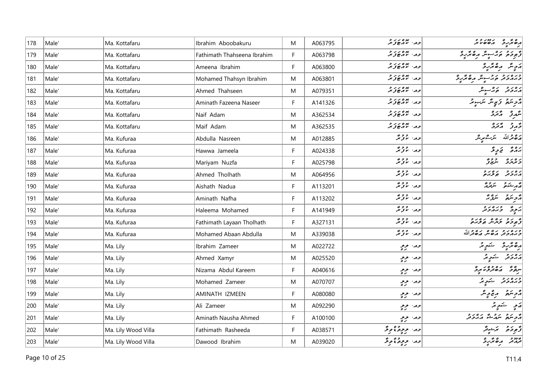| 178 | Male' | Ma. Kottafaru       | Ibrahim Aboobakuru          | M  | A063795 | $7707 - 12$          |                                               |
|-----|-------|---------------------|-----------------------------|----|---------|----------------------|-----------------------------------------------|
| 179 | Male' | Ma. Kottafaru       | Fathimath Thahseena Ibrahim | F  | A063798 | 7707.707             | و و ده به باش مه و محمد و                     |
| 180 | Male' | Ma. Kottafaru       | Ameena Ibrahim              | F  | A063800 | בו מפשיג ב           | أرَّجِيدُ مِعْمَدِةٌ                          |
| 181 | Male' | Ma. Kottafaru       | Mohamed Thahsyn Ibrahim     | M  | A063801 | $770x$<br>$790x$     | כנים בי הר היית תפית בי                       |
| 182 | Male' | Ma. Kottafaru       | Ahmed Thahseen              | M  | A079351 | $770x$<br>$797 - 12$ | رەرد رەپ                                      |
| 183 | Male' | Ma. Kottafaru       | Aminath Fazeena Naseer      | F  | A141326 | $770x$<br>$797 - 12$ | أأدوسكم وكالمحاشر الكرسومر                    |
| 184 | Male' | Ma. Kottafaru       | Naif Adam                   | M  | A362534 | בגי מגפידי           | بترو تزنده                                    |
| 185 | Male' | Ma. Kottafaru       | Maif Adam                   | M  | A362535 | $77707 - 77$         | د د تر ده                                     |
| 186 | Male' | Ma. Kufuraa         | Abdulla Nasreen             | M  | A012885 | وړ ، ماونژ           | رەقراللە<br>ىئەسىمبەش                         |
| 187 | Male' | Ma. Kufuraa         | Hawwa Jameela               | F  | A024338 | وړ ، ماتونتر         | پروژ نے پر ڈ                                  |
| 188 | Male' | Ma. Kufuraa         | Mariyam Nuzfa               | F. | A025798 | وړ ، ناونژ           | د ه د ه د و و و<br>  د بر برج تر پنج تر       |
| 189 | Male' | Ma. Kufuraa         | Ahmed Tholhath              | M  | A064956 | وړ ، ماونژ           | ره رو ده رو<br>مهرونر بونوبرو                 |
| 190 | Male' | Ma. Kufuraa         | Aishath Nadua               | F. | A113201 | وړ ، ناونگ           | و شهر دور<br>مهرشتمو سرفر <i>ه</i>            |
| 191 | Male' | Ma. Kufuraa         | Aminath Nafha               | F  | A113202 | وړ ، ناونگ           | أأوسكم المروثة                                |
| 192 | Male' | Ma. Kufuraa         | Haleema Mohamed             | F  | A141949 | وە، ئاۋىر            | يروس ورەرو                                    |
| 193 | Male' | Ma. Kufuraa         | Fathimath Layaan Tholhath   | F  | A327131 | وړ . مانونتر         | تحج رد روه ره دد                              |
| 194 | Male' | Ma. Kufuraa         | Mohamed Abaan Abdulla       | M  | A339038 | وړ ، ماونژ           | وره رو بره و ره والله                         |
| 195 | Male' | Ma. Lily            | Ibrahim Zameer              | M  | A022722 | وړ وو.<br>در         | رە ئەر ئىچە                                   |
| 196 | Male' | Ma. Lily            | Ahmed Xamyr                 | M  | A025520 | ود وو                | رەرد ئوپر                                     |
| 197 | Male' | Ma. Lily            | Nizama Abdul Kareem         | F  | A040616 | ود. وو               | سرة دەرەر دە                                  |
| 198 | Male' | Ma. Lily            | Mohamed Zameer              | M  | A070707 | ود وو<br>ر           | ورەرو بەرچ                                    |
| 199 | Male' | Ma. Lily            | AMINATH IZMEEN              | F. | A080080 | وړ وو.<br>در         | أأترجم أرام المحمح وينكر                      |
| 200 | Male' | Ma. Lily            | Ali Zameer                  | M  | A092290 | وړ وو.<br>در         | أرتموا المسكوبر                               |
| 201 | Male' | Ma. Lily            | Aminath Nausha Ahmed        | F. | A100100 | وړ وو.<br>در         | مُ حِسَنَ مَنْ اللَّهُ مَنْ اللَّهُ وَاللَّهِ |
| 202 | Male' | Ma. Lily Wood Villa | Fathimath Rasheeda          | F. | A038571 | در و دوه و د         | أراموخام المختصوص                             |
| 203 | Male' | Ma. Lily Wood Villa | Dawood Ibrahim              | M  | A039020 | در ووه، وگ           | בנגי גם ביב                                   |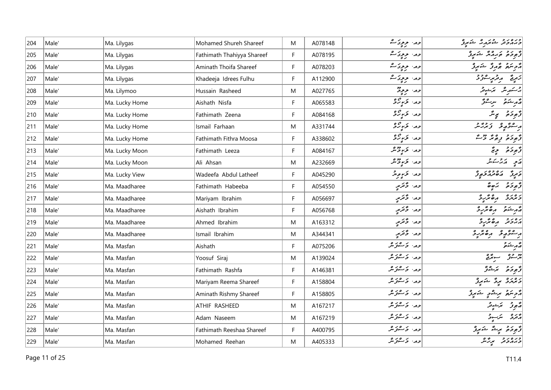| 204 | Male' | Ma. Lilygas    | Mohamed Shureh Shareef     | M           | A078148 | $rac{1}{\sqrt{1-\frac{1}{1-\frac{1}{1-\frac{1}{1-\frac{1}{1-\frac{1}{1-\frac{1}{1-\frac{1}{1-\frac{1}{1-\frac{1}{1-\frac{1}{1-\frac{1}{1-\frac{1}{1-\frac{1}{1-\frac{1}{1-\frac{1}{1-\frac{1}{1-\frac{1}{1-\frac{1}{1-\frac{1}{1-\frac{1}{1-\frac{1}{1-\frac{1}{1-\frac{1}{1-\frac{1}{1-\frac{1}{1-\frac{1}{1-\frac{1}{1-\frac{1}{1-\frac{1}{1-\frac{1}{1-\frac{1}{1-\frac{1}{1-\frac{1}{1-\frac{1}{1-\frac{1}{1-\frac$ | ورەرو خىمرى خىرو                                       |
|-----|-------|----------------|----------------------------|-------------|---------|-------------------------------------------------------------------------------------------------------------------------------------------------------------------------------------------------------------------------------------------------------------------------------------------------------------------------------------------------------------------------------------------------------------------------|--------------------------------------------------------|
| 205 | Male' | Ma. Lilygas    | Fathimath Thahiyya Shareef | $\mathsf F$ | A078195 | در ووړ گ                                                                                                                                                                                                                                                                                                                                                                                                                | ژُودَهُ وَبِهُمُّ شَهْرٍ                               |
| 206 | Male' | Ma. Lilygas    | Aminath Thoifa Shareef     | F           | A078203 | در، دیدن م                                                                                                                                                                                                                                                                                                                                                                                                              | أأوسم أأورق خربرقه                                     |
| 207 | Male' | Ma. Lilygas    | Khadeeja Idrees Fulhu      | F           | A112900 | در، ووړک                                                                                                                                                                                                                                                                                                                                                                                                                | زَمِيعٌ پرمزمر سور د                                   |
| 208 | Male' | Ma. Lilymoo    | Hussain Rasheed            | M           | A027765 | $\frac{1}{3}$                                                                                                                                                                                                                                                                                                                                                                                                           | رُ سَمَرِ مَرْ مَرَ مِنْ مِرْ                          |
| 209 | Male' | Ma. Lucky Home | Aishath Nisfa              | F.          | A065583 | وړ٠ ځېږ <sup>0</sup> و                                                                                                                                                                                                                                                                                                                                                                                                  | د د شکاه موسود می                                      |
| 210 | Male' | Ma. Lucky Home | Fathimath Zeena            | $\mathsf F$ | A084168 | دە. ئ <i>ې</i> رگۈ                                                                                                                                                                                                                                                                                                                                                                                                      | وٌجوحَ مَمْ سِرٌ                                       |
| 211 | Male' | Ma. Lucky Home | Ismail Farhaan             | M           | A331744 | دە. ئۈرگۈ                                                                                                                                                                                                                                                                                                                                                                                                               | وستؤدعى وترقيق                                         |
| 212 | Male' | Ma. Lucky Home | Fathimath Fithra Moosa     | $\mathsf F$ | A338602 | دە. ئىدىۋ                                                                                                                                                                                                                                                                                                                                                                                                               | و دو وه د ده                                           |
| 213 | Male' | Ma. Lucky Moon | Fathimath Leeza            | F           | A084167 | دە. ئۈرۈمى<br>ئ                                                                                                                                                                                                                                                                                                                                                                                                         | وً و ده د پنج                                          |
| 214 | Male' | Ma. Lucky Moon | Ali Ahsan                  | M           | A232669 | دړې ځې د ده.                                                                                                                                                                                                                                                                                                                                                                                                            | أماسي ماركر كالمركز                                    |
| 215 | Male' | Ma. Lucky View | Wadeefa Abdul Latheef      | F           | A045290 | دە ئەرەپە                                                                                                                                                                                                                                                                                                                                                                                                               | ر ه د ه ر ه<br>پره تر پر تر پول<br>ءَ مَرِوٌ           |
| 216 | Male' | Ma. Maadharee  | Fathimath Habeeba          | $\mathsf F$ | A054550 | وړ٤ وگرمي                                                                                                                                                                                                                                                                                                                                                                                                               | وٌودَهُ بُهِ ةُ                                        |
| 217 | Male' | Ma. Maadharee  | Mariyam Ibrahim            | F.          | A056697 | وە بە ئەرىپ                                                                                                                                                                                                                                                                                                                                                                                                             | ە ھەترىر <sup>ە</sup><br>ر ه ر ه<br><del>د</del> بربرو |
| 218 | Male' | Ma. Maadharee  | Aishath Ibrahim            | F           | A056768 | وړ گوگرمي                                                                                                                                                                                                                                                                                                                                                                                                               | ەھ ئۈرۈ<br>و.<br>د کم شوځ                              |
| 219 | Male' | Ma. Maadharee  | Ahmed Ibrahim              | M           | A163312 | دە. بۇ ئېرىپ                                                                                                                                                                                                                                                                                                                                                                                                            |                                                        |
| 220 | Male' | Ma. Maadharee  | Ismail Ibrahim             | M           | A344341 | دە. بۇ ئەير                                                                                                                                                                                                                                                                                                                                                                                                             | دە ئەرد<br>ىر سى <i>مۇ م</i> وگر                       |
| 221 | Male' | Ma. Masfan     | Aishath                    | F           | A075206 | وړ کې شوکر                                                                                                                                                                                                                                                                                                                                                                                                              | ۇ مەشقى<br>مەر                                         |
| 222 | Male' | Ma. Masfan     | Yoosuf Siraj               | M           | A139024 | در کارور و                                                                                                                                                                                                                                                                                                                                                                                                              | دو به ده<br>مرسسونو<br>سىرتىرقى                        |
| 223 | Male' | Ma. Masfan     | Fathimath Rashfa           | F           | A146381 | وړ کې شوکر                                                                                                                                                                                                                                                                                                                                                                                                              | ۇي <sub>م</sub> وڭ <sub>ۇ س</sub> رىشۇ                 |
| 224 | Male' | Ma. Masfan     | Mariyam Reema Shareef      | F           | A158804 | ور. ۇسۇر ئە                                                                                                                                                                                                                                                                                                                                                                                                             | د چرکا او پاکستا پرو                                   |
| 225 | Male' | Ma. Masfan     | Aminath Rishmy Shareef     | F           | A158805 | وړ کې شوکس                                                                                                                                                                                                                                                                                                                                                                                                              | أأدوسكم برعقي عكمرو                                    |
| 226 | Male' | Ma. Masfan     | ATHIF RASHEED              | M           | A167217 | وړ کوسوګر شو                                                                                                                                                                                                                                                                                                                                                                                                            | و د کردوگر<br>مگهور کردوگر                             |
| 227 | Male' | Ma. Masfan     | Adam Naseem                | M           | A167219 | وړ کو شوکس                                                                                                                                                                                                                                                                                                                                                                                                              | أروه الكرسوم                                           |
| 228 | Male' | Ma. Masfan     | Fathimath Reeshaa Shareef  | F           | A400795 | وړ کو شوکس                                                                                                                                                                                                                                                                                                                                                                                                              | ژودۇ بېڭ خىر                                           |
| 229 | Male' | Ma. Masfan     | Mohamed Reehan             | M           | A405333 | <i>دە. بۇ</i> سۇرىگە                                                                                                                                                                                                                                                                                                                                                                                                    | ورەرو برگە                                             |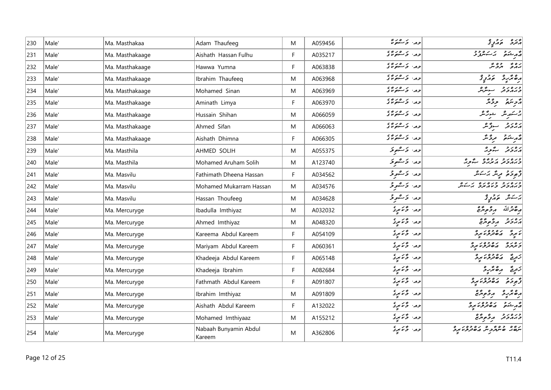| 230 | Male' | Ma. Masthakaa   | Adam Thaufeeg                   | M  | A059456 | وړ کړه دی                    | وره رو و<br>مرکز مرمون                     |
|-----|-------|-----------------|---------------------------------|----|---------|------------------------------|--------------------------------------------|
| 231 | Male' | Ma. Masthakaage | Aishath Hassan Fulhu            | F  | A035217 | وړ کره دي                    | وگەر شىكى ئەرەر دەر                        |
| 232 | Male' | Ma. Masthakaage | Hawwa Yumna                     | F. | A063838 |                              | ر ه و<br>برد و<br>ىردىتر                   |
| 233 | Male' | Ma. Masthakaage | Ibrahim Thaufeeq                | M  | A063968 | وړ کوروړي                    | رە ئرىر ئەرر ئ                             |
| 234 | Male' | Ma. Masthakaage | Mohamed Sinan                   | M  | A063969 |                              | ورەرو سەئۇش                                |
| 235 | Male' | Ma. Masthakaage | Aminath Limya                   | F. | A063970 | وړ کوروړ                     | أأروسكم ودائر                              |
| 236 | Male' | Ma. Masthakaage | Hussain Shihan                  | M  | A066059 | وړ کوروړ                     | برسكور عراشر                               |
| 237 | Male' | Ma. Masthakaage | Ahmed Sifan                     | M  | A066063 | وړ کورون                     | ەرە بەر ئە                                 |
| 238 | Male' | Ma. Masthakaage | Aishath Dhimna                  | F. | A066305 |                              | ړ د شوه درونگر                             |
| 239 | Male' | Ma. Masthila    | AHMED SOLIH                     | M  | A055375 | ورست وسفوى                   | رەر دېرو                                   |
| 240 | Male' | Ma. Masthila    | Mohamed Aruham Solih            | M  | A123740 | ور. ۇشمۇمۇ                   | ورەر د رودە بەر                            |
| 241 | Male' | Ma. Masvilu     | Fathimath Dheena Hassan         | F  | A034562 | ور. ۇشمۇ ئى                  | ژوده پېژ ټکر                               |
| 242 | Male' | Ma. Masvilu     | Mohamed Mukarram Hassan         | M  | A034576 | دە. ئەسقىرىتى                | ورەرو ورەرە رىك                            |
| 243 | Male' | Ma. Masvilu     | Hassan Thoufeeg                 | M  | A034628 | دە. ئەسھوقى                  | بر سەش ئۇر <sub>ۇپ</sub> ۇ                 |
| 244 | Male' | Ma. Mercuryge   | Ibadulla Imthiyaz               | M  | A032032 | <i>د</i> ړ گرنړۍ<br>         | ويحقرالله وتحوريم                          |
| 245 | Male' | Ma. Mercuryge   | Ahmed Imthiyaz                  | M  | A048320 | <br>  <i>د</i> ړ. د تمکيږي   | גפנק הכתחת                                 |
| 246 | Male' | Ma. Mercuryge   | Kareema Abdul Kareem            | F  | A054109 | دە. د ئەيرى<br>دە. د ئايرى   | بمبرد رەدەرىبرە                            |
| 247 | Male' | Ma. Mercuryge   | Mariyam Abdul Kareem            | F. | A060361 | <br>  <i>د</i> ړ ژنړېږي      | ג פגם גם בסגם<br>המחבר השיניבטית           |
| 248 | Male' | Ma. Mercuryge   | Khadeeja Abdul Kareem           | F. | A065148 | دە. د ئايرى<br>دە            | ترديح مەھىرومىرو                           |
| 249 | Male' | Ma. Mercuryge   | Khadeeja Ibrahim                | F. | A082684 | وړ٠ وګړي<br>د                | ترىرىتج<br>ە ھەترىرى                       |
| 250 | Male' | Ma. Mercuryge   | Fathmath Abdul Kareem           | F  | A091807 | <i>د</i> ړ. د ځمانموړنۍ      | ر ه د و ر ه<br>پره تر ژبر برد<br>و په پر د |
| 251 | Male' | Ma. Mercuryge   | Ibrahim Imthiyaz                | M  | A091809 | در په دې برې                 | קלקיקיק<br>תו<br>ره پر ره<br>ره پر ره      |
| 252 | Male' | Ma. Mercuryge   | Aishath Abdul Kareem            | F  | A132022 | وړ٠ وګړيږي                   | د در ده ده ده ده ده د                      |
| 253 | Male' | Ma. Mercuryge   | Mohamed Imthiyaaz               | M  | A155212 | دړ٠ د څو پېړۍ                | כנסגב תכתחה                                |
| 254 | Male' | Ma. Mercuryge   | Nabaah Bunyamin Abdul<br>Kareem | M  | A362806 | دە بە ئەتمە ئى <sub>رى</sub> |                                            |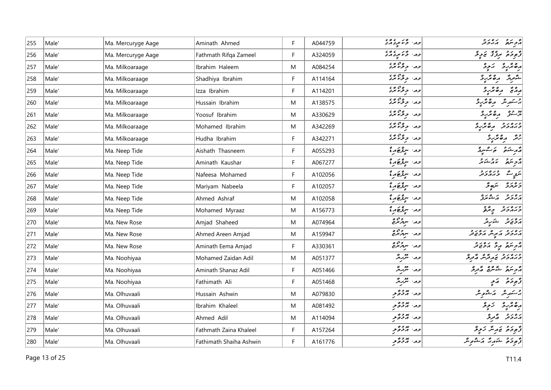| 255 | Male' | Ma. Mercuryge Aage | Aminath Ahmed           | F         | A044759 | $\begin{bmatrix} 1 & 1 & 1 & 1 \\ 1 & 1 & 1 & 1 \\ 1 & 1 & 1 & 1 \\ 1 & 1 & 1 & 1 \end{bmatrix}$ | أأروسكم المدوفر                                                                                      |
|-----|-------|--------------------|-------------------------|-----------|---------|--------------------------------------------------------------------------------------------------|------------------------------------------------------------------------------------------------------|
| 256 | Male' | Ma. Mercuryge Aage | Fathmath Rifqa Zameel   | F.        | A324059 | وړ٠ وګڼمبره وه و                                                                                 | و دو بروژ نمود                                                                                       |
| 257 | Male' | Ma. Milkoaraage    | Ibrahim Haleem          | M         | A084254 | כוי קיביות.<br>כוי קיביות.                                                                       | رەپرىر بەرە                                                                                          |
| 258 | Male' | Ma. Milkoaraage    | Shadhiya Ibrahim        | F         | A114164 | כון - כיציע מיט<br>כון - כיציע מיט                                                               | ڪُورِ پُرُ<br>دە ئەرە                                                                                |
| 259 | Male' | Ma. Milkoaraage    | Izza Ibrahim            | F         | A114201 | ם מי יכל מיידי<br>המי יכל מידיב                                                                  | ەدىج<br>ە ھەمرىر 2<br>بەھەمرىر 2                                                                     |
| 260 | Male' | Ma. Milkoaraage    | Hussain Ibrahim         | M         | A138575 | ובגי כבעידים                                                                                     | برسكريمر المقتربة                                                                                    |
| 261 | Male' | Ma. Milkoaraage    | Yoosuf Ibrahim          | M         | A330629 | اور و وه ده                                                                                      | ەرھەترىر <sup>ى</sup><br>در حره                                                                      |
| 262 | Male' | Ma. Milkoaraage    | Mohamed Ibrahim         | M         | A342269 | $5500$<br>$55900$                                                                                | ەھ ئەرج<br>و ر ه ر و<br>د بر پر <del>و</del> تر                                                      |
| 263 | Male' | Ma. Milkoaraage    | Hudha Ibrahim           | F         | A342271 | ם מי יכל מיידי<br>המי יכל מידיב                                                                  | رقر مەھمىر                                                                                           |
| 264 | Male' | Ma. Neep Tide      | Aishath Thasneem        | F         | A055293 | در. سروع ره                                                                                      | ۇرشۇم ئوسرو                                                                                          |
| 265 | Male' | Ma. Neep Tide      | Aminath Kaushar         | F         | A067277 | در. سروع ره                                                                                      | הכתב והכביב                                                                                          |
| 266 | Male' | Ma. Neep Tide      | Nafeesa Mohamed         | F         | A102056 | در. سروع ره                                                                                      | و رە ر د<br>تر پر تر تر<br>  سَرَرٍ ہُے                                                              |
| 267 | Male' | Ma. Neep Tide      | Mariyam Nabeela         | F         | A102057 | در. سروع ره                                                                                      | و وره سکه و گ                                                                                        |
| 268 | Male' | Ma. Neep Tide      | Ahmed Ashraf            | M         | A102058 | <i>בו.</i> سرق مور و                                                                             | رەرد كەشەرە                                                                                          |
| 269 | Male' | Ma. Neep Tide      | Mohamed Myraaz          | ${\sf M}$ | A156773 | در. سروع ره                                                                                      | دره در در در در                                                                                      |
| 270 | Male' | Ma. New Rose       | Amjad Shaheed           | M         | A074964 | כו <i>ג ייטר</i> יבים                                                                            | پرورو شرید                                                                                           |
| 271 | Male' | Ma. New Rose       | Ahmed Areen Amjad       | M         | A159947 | כו <i>ג יי</i> ט <i>ר</i> יבים                                                                   | גפגב ג גים גם גב<br>ג גבע ג <sub>א א</sub> יש גבש ג                                                  |
| 272 | Male' | Ma. New Rose       | Aminath Eema Amjad      | F         | A330361 | כו <i>ג ייטריצ</i> ים                                                                            | הכתב הב הפשב                                                                                         |
| 273 | Male' | Ma. Noohiyaa       | Mohamed Zaidan Adil     | M         | A051377 | حەر، سرگرىگە                                                                                     | ورەرو <sub>كەر</sub> ترىر گەرگ                                                                       |
| 274 | Male' | Ma. Noohiyaa       | Aminath Shanaz Adil     | F         | A051466 | وړ شریر                                                                                          | أأروسهم المشارع المراجح                                                                              |
| 275 | Male' | Ma. Noohiyaa       | Fathimath Ali           | F         | A051468 | حەر، سۆرىدىگە                                                                                    | وٌمِ دَمَ دَمِ                                                                                       |
| 276 | Male' | Ma. Olhuvaali      | Hussain Ashwin          | M         | A079830 | در برده د                                                                                        | يز سكر شركة كالمحمد المركز المركز المركز المركز المركز المركز المركز المركز المركز المركز المركز الم |
| 277 | Male' | Ma. Olhuvaali      | Ibrahim Khaleel         | ${\sf M}$ | A081492 | در به دوربر<br>در م <sup>رد</sup> ور                                                             | رەپرىر ئېرو                                                                                          |
| 278 | Male' | Ma. Olhuvaali      | Ahmed Adil              | M         | A114094 | در بردور<br>در مردور                                                                             | برەر د ئەربى                                                                                         |
| 279 | Male' | Ma. Olhuvaali      | Fathmath Zaina Khaleel  | F         | A157264 | <br>  <i>د</i> ړ. مرموځ مړ                                                                       | ۋە ئەڭ ئەرىگە ئەمپى                                                                                  |
| 280 | Male' | Ma. Olhuvaali      | Fathimath Shaiha Ashwin | F.        | A161776 | در به چرمځ مو                                                                                    | تزوده خررته كمشوش                                                                                    |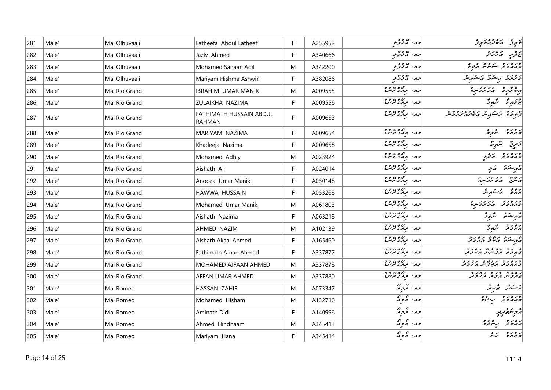| 281 | Male' | Ma. Olhuvaali | Latheefa Abdul Latheef                   | F           | A255952 | وړ٠ تروگو                                                                                                                                                                                                                                                                                                                                                                                                                                                                                                                         | كَهُوِرٌ   مُصْدِرْ مَعْ وِرْ                                    |
|-----|-------|---------------|------------------------------------------|-------------|---------|-----------------------------------------------------------------------------------------------------------------------------------------------------------------------------------------------------------------------------------------------------------------------------------------------------------------------------------------------------------------------------------------------------------------------------------------------------------------------------------------------------------------------------------|------------------------------------------------------------------|
| 282 | Male' | Ma. Olhuvaali | Jazly Ahmed                              | F           | A340666 | در به دور<br>در مردو                                                                                                                                                                                                                                                                                                                                                                                                                                                                                                              | كمخترج أترجر والمحمد                                             |
| 283 | Male' | Ma. Olhuvaali | Mohamed Sanaan Adil                      | M           | A342200 | در بردور<br>در مرگور                                                                                                                                                                                                                                                                                                                                                                                                                                                                                                              | ورەرو رىپە گەر ئ                                                 |
| 284 | Male' | Ma. Olhuvaali | Mariyam Hishma Ashwin                    | F           | A382086 | در بردور<br>در مرگو                                                                                                                                                                                                                                                                                                                                                                                                                                                                                                               | دەرە بەشۇ كەشۈش                                                  |
| 285 | Male' | Ma. Rio Grand | <b>IBRAHIM UMAR MANIK</b>                | M           | A009555 | 00 <u>400 م</u><br>10 مجمدی محرس                                                                                                                                                                                                                                                                                                                                                                                                                                                                                                  | <b>ת בילקיב הבינבית.</b>                                         |
| 286 | Male' | Ma. Rio Grand | ZULAIKHA NAZIMA                          | F           | A009556 | $\begin{array}{ll} 0&0&0&0\\ 0&0&0&0\\ \end{array} \quad \begin{array}{ll} \text{\normalsize{0.6}}\\ \text{\normalsize{0.6}} \end{array} \quad \begin{array}{ll} \text{\normalsize{0.6}}\\ \text{\normalsize{0.6}} \end{array} \quad \begin{array}{ll} \text{\normalsize{0.6}}\\ \text{\normalsize{0.6}} \end{array} \quad \begin{array}{ll} \text{\normalsize{0.6}}\\ \text{\normalsize{0.6}} \end{array} \quad \begin{array}{ll} \text{\normalsize{0.6}}\\ \text{\normalsize{0.6}} \end{array} \quad \begin{$                   | چ ئەر <sup>ى</sup> سىھرى                                         |
| 287 | Male' | Ma. Rio Grand | FATHIMATH HUSSAIN ABDUL<br><b>RAHMAN</b> | $\mathsf F$ | A009653 | $\begin{array}{ll} 0 & 0 & 0 & 0 \\ 0 & \mathcal{M} & \mathcal{M} \end{array} \quad \text{and} \quad \begin{array}{ll} 0 & 0 & 0 \\ \mathcal{M} & \mathcal{M} \end{array}$                                                                                                                                                                                                                                                                                                                                                        | » رد د ر ه ره ده ده ده<br>ژبووه بر سرسر پره در در در             |
| 288 | Male' | Ma. Rio Grand | MARIYAM NAZIMA                           | F           | A009654 | $\begin{array}{ll} 0 & 0 & 0 & 0 \\ 0 & \mathcal{N} & \mathcal{N} \end{array} \quad \text{and} \quad \begin{array}{ll} 0 & 0 & 0 \\ \mathcal{N} & \mathcal{N} \end{array}$                                                                                                                                                                                                                                                                                                                                                        | ويوبره<br>سَمْعِ تَرُ                                            |
| 289 | Male' | Ma. Rio Grand | Khadeeja Nazima                          | F           | A009658 | $\begin{array}{ll} 0 & 0 & 0 \\ 0 & \mathcal{N} \times \mathcal{N} \times \mathcal{N} \times \mathcal{N} \times \mathcal{N} \times \mathcal{N} \times \mathcal{N} \times \mathcal{N} \times \mathcal{N} \times \mathcal{N} \times \mathcal{N} \times \mathcal{N} \times \mathcal{N} \times \mathcal{N} \times \mathcal{N} \times \mathcal{N} \times \mathcal{N} \times \mathcal{N} \times \mathcal{N} \times \mathcal{N} \times \mathcal{N} \times \mathcal{N} \times \mathcal{N} \times \mathcal{N} \times \mathcal{N} \times \$ | زَمِرِةً سَّمْوِدًّ                                              |
| 290 | Male' | Ma. Rio Grand | Mohamed Adhly                            | M           | A023924 |                                                                                                                                                                                                                                                                                                                                                                                                                                                                                                                                   | و ر ه ر د<br>تر <i>پر پ</i> ر تر<br>ەتىرىپە                      |
| 291 | Male' | Ma. Rio Grand | Aishath Ali                              | F           | A024014 | $0.0000$<br>$0.0000$                                                                                                                                                                                                                                                                                                                                                                                                                                                                                                              | أقهر شنعتى أقدمي                                                 |
| 292 | Male' | Ma. Rio Grand | Anooza Umar Manik                        | F           | A050148 | ם בגי יישוב ביית.<br>כגי יישוב ביית.                                                                                                                                                                                                                                                                                                                                                                                                                                                                                              | ג מי הרגבית                                                      |
| 293 | Male' | Ma. Rio Grand | HAWWA HUSSAIN                            | F           | A053268 | $0.00000$<br>$0.000000$                                                                                                                                                                                                                                                                                                                                                                                                                                                                                                           | برە ئەسكىرىش                                                     |
| 294 | Male' | Ma. Rio Grand | Mohamed Umar Manik                       | M           | A061803 | $0.0000$<br>$3.000$                                                                                                                                                                                                                                                                                                                                                                                                                                                                                                               | ב ז' די הרי ייקול<br>נג'ב זיקול<br>و رە ر د<br><i>د بر</i> بر تر |
| 295 | Male' | Ma. Rio Grand | Aishath Nazima                           | F           | A063218 | $00000$<br>$00000000$                                                                                                                                                                                                                                                                                                                                                                                                                                                                                                             | مەرىشى سىبرۇ                                                     |
| 296 | Male' | Ma. Rio Grand | AHMED NAZIM                              | M           | A102139 | $0.00000$<br>$0.00000$                                                                                                                                                                                                                                                                                                                                                                                                                                                                                                            | أرەر ئەشرە                                                       |
| 297 | Male' | Ma. Rio Grand | Aishath Akaal Ahmed                      | F           | A165460 | 0 0 ده 0 0<br>محرار 2 محرمس<br>ور.                                                                                                                                                                                                                                                                                                                                                                                                                                                                                                | و دشتو بروه بروبرد<br>و دشتو مراکز مدرونر                        |
| 298 | Male' | Ma. Rio Grand | Fathimath Afnan Ahmed                    | F           | A337877 | ם בגי בים בים בים בים ביות.<br>המידור ביות המיית                                                                                                                                                                                                                                                                                                                                                                                                                                                                                  | و د د ده وه ده د و<br>گهچونه امتر شرح امداد ک                    |
| 299 | Male' | Ma. Rio Grand | MOHAMED AJFAAN AHMED                     | M           | A337878 | ے ہے دہ ہے<br>محمد محمد سم<br>وم∙                                                                                                                                                                                                                                                                                                                                                                                                                                                                                                 | ورەر د پروپە پەر دې<br><mark>ק</mark> بەم <i>چى ئۇس م</i> بروتر  |
| 300 | Male' | Ma. Rio Grand | AFFAN UMAR AHMED                         | M           | A337880 | $\begin{array}{ll} 0 & 0 & 0 & 0 \\ 0 & \mathcal{N} & \mathcal{N} \end{array} \quad \text{and} \quad \mathcal{N} \begin{array}{ll} 0 & 0 & 0 \\ 0 & \mathcal{N} \end{array}$                                                                                                                                                                                                                                                                                                                                                      | גם זם "כג"ד גם גב"ד.<br>המצייר הכינ הגבת                         |
| 301 | Male' | Ma. Romeo     | HASSAN ZAHIR                             | M           | A073347 | בו הצבה                                                                                                                                                                                                                                                                                                                                                                                                                                                                                                                           | يَرْسَمْشْ مَحْرِ مِرْ                                           |
| 302 | Male' | Ma. Romeo     | Mohamed Hisham                           | M           | A132716 | בו. יצבה                                                                                                                                                                                                                                                                                                                                                                                                                                                                                                                          | ورەرو رىشى                                                       |
| 303 | Male' | Ma. Romeo     | Aminath Didi                             | F           | A140996 | בו. יצבה                                                                                                                                                                                                                                                                                                                                                                                                                                                                                                                          | پژ <sub>خر</sub> سرچ توپور                                       |
| 304 | Male' | Ma. Romeo     | Ahmed Hindhaam                           | M           | A345413 | בו הצבה                                                                                                                                                                                                                                                                                                                                                                                                                                                                                                                           | برەرو بەھەد                                                      |
| 305 | Male' | Ma. Romeo     | Mariyam Hana                             | F           | A345414 | בו. יצבה                                                                                                                                                                                                                                                                                                                                                                                                                                                                                                                          | رەرە ئەگ                                                         |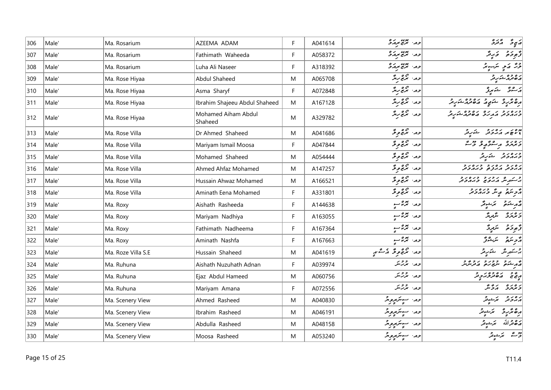| 306 | Male' | Ma. Rosarium       | AZEEMA ADAM                    | F  | A041614 | בו יישי מבי                                                                                                                                                                                                                      | ړې په ډېره                                            |
|-----|-------|--------------------|--------------------------------|----|---------|----------------------------------------------------------------------------------------------------------------------------------------------------------------------------------------------------------------------------------|-------------------------------------------------------|
| 307 | Male' | Ma. Rosarium       | Fathimath Waheeda              | F  | A058372 | בו יישי מביק בירי ביידור בירי ביידור ביידור ביידור ביידור ביידור ביידור ביידור ביידור ביידור ביידור ביידור ביי<br>קבוצו ביידור ביידור ביידור ביידור ביידור ביידור ביידור ביידור ביידור ביידור ביידור ביידור ביידור ביידור ביידור | وَجوحَهِ وَرِمَّرُ                                    |
| 308 | Male' | Ma. Rosarium       | Luha Ali Naseer                | F  | A318392 | בו יי יש יינור<br>כו יי יש יינור                                                                                                                                                                                                 | 3ج تم تم المراجع                                      |
| 309 | Male' | Ma. Rose Hiyaa     | <b>Abdul Shaheed</b>           | M  | A065708 | حدث محمدة رامح                                                                                                                                                                                                                   | ر و و و شر ر د<br>مان محمد ر شر س                     |
| 310 | Male' | Ma. Rose Hiyaa     | Asma Sharyf                    | F. | A072848 | در. موج رومً                                                                                                                                                                                                                     | پر صوبی مشمیرو                                        |
| 311 | Male' | Ma. Rose Hiyaa     | Ibrahim Shajeeu Abdul Shaheed  | M  | A167128 | در مرج برگر                                                                                                                                                                                                                      | رە ئرىرو شەير ئەھەر ئىستىرىد                          |
| 312 | Male' | Ma. Rose Hiyaa     | Mohamed Aiham Abdul<br>Shaheed | M  | A329782 | در، ندی به ژ                                                                                                                                                                                                                     | כנסגב ג גם גם כסברית                                  |
| 313 | Male' | Ma. Rose Villa     | Dr Ahmed Shaheed               | M  | A041686 | دە. ئۇچمۇمۇ                                                                                                                                                                                                                      |                                                       |
| 314 | Male' | Ma. Rose Villa     | Mariyam Ismail Moosa           | F  | A047844 | دە. ئۇچمۇمۇ                                                                                                                                                                                                                      | وبرمرد برسوم وحفظ                                     |
| 315 | Male' | Ma. Rose Villa     | Mohamed Shaheed                | M  | A054444 | رو. برج و دَّ                                                                                                                                                                                                                    | ورەرو شەرىر                                           |
| 316 | Male' | Ma. Rose Villa     | Ahmed Ahfaz Mohamed            | M  | A147257 | دە. ئۇچمۇمۇ                                                                                                                                                                                                                      | ر ه ر و بر ه ر و بر ه ر و<br>مرد تر مربر ز خان مرد تر |
| 317 | Male' | Ma. Rose Villa     | Hussain Ahwaz Mohamed          | M  | A166521 | دە. ئۇچمۇمۇ                                                                                                                                                                                                                      | المحسكة مديرة المحدد وروبر و                          |
| 318 | Male' | Ma. Rose Villa     | Aminath Eena Mohamed           | F. | A331801 | دە. ئۇچمۇقە                                                                                                                                                                                                                      | أأزويتهم أيريكر وبرواد                                |
| 319 | Male' | Ma. Roxy           | Aishath Rasheeda               | F. | A144638 | احد، تمرین ہے                                                                                                                                                                                                                    | أقهر مشكاتها المتمر المتوفي                           |
| 320 | Male' | Ma. Roxy           | Mariyam Nadhiya                | F. | A163055 | احد، تبرہ ہے                                                                                                                                                                                                                     | د ۱۵ د ه عمومر                                        |
| 321 | Male' | Ma. Roxy           | Fathimath Nadheema             | F  | A167364 | احد، تبرہ ہے                                                                                                                                                                                                                     | توالله وكالمحمد وتحريحه                               |
| 322 | Male' | Ma. Roxy           | Aminath Nashfa                 | F  | A167663 | $\frac{1}{\epsilon}$                                                                                                                                                                                                             | أأده سكره سريشوش                                      |
| 323 | Male' | Ma. Roze Villa S.E | Hussain Shaheed                | M  | A041619 | در. نرج و څه کرگ په                                                                                                                                                                                                              | 2سەر شەر ئىدىر                                        |
| 324 | Male' | Ma. Ruhuna         | Aishath Nuzuhath Adnan         | F  | A039974 | وە بەرتىر                                                                                                                                                                                                                        | ه در در در در در در د                                 |
| 325 | Male' | Ma. Ruhuna         | Ejaz Abdul Hameed              | M  | A060756 | وړ برگرنگ                                                                                                                                                                                                                        | د ده ده ده ده د د                                     |
| 326 | Male' | Ma. Ruhuna         | Mariyam Amana                  | F  | A072556 | وړ برگټر                                                                                                                                                                                                                         | رەرە رۇش                                              |
| 327 | Male' | Ma. Scenery View   | Ahmed Rasheed                  | M  | A040830 | وړ٠ سوسرپرو د                                                                                                                                                                                                                    | د د د د سر سومر                                       |
| 328 | Male' | Ma. Scenery View   | Ibrahim Rasheed                | M  | A046191 | دړ٠ سوسر پره وگر                                                                                                                                                                                                                 | أرە ئۇرۇ سىمئون                                       |
| 329 | Male' | Ma. Scenery View   | Abdulla Rasheed                | M  | A048158 | حەر، سومئر <i>پرو</i> ور<br>ئاسمىيە                                                                                                                                                                                              | أرة فرالله بمرجونر                                    |
| 330 | Male' | Ma. Scenery View   | Moosa Rasheed                  | M  | A053240 | در سوسر پرورژ                                                                                                                                                                                                                    | رومے پر شونڈ                                          |
|     |       |                    |                                |    |         |                                                                                                                                                                                                                                  |                                                       |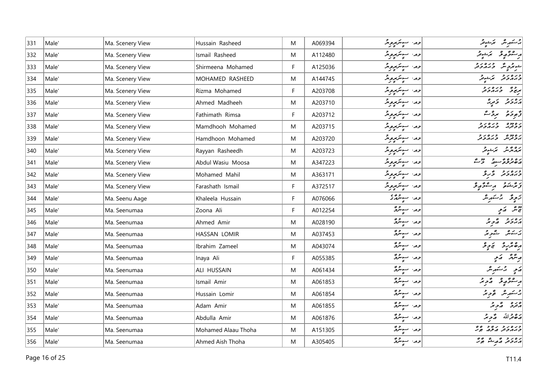| 331 | Male' | Ma. Scenery View | Hussain Rasheed     | M           | A069394 | وړ٠ سوسر <sub>مرو م</sub> ر | چرىسىم ئىر ئىچە                                     |
|-----|-------|------------------|---------------------|-------------|---------|-----------------------------|-----------------------------------------------------|
| 332 | Male' | Ma. Scenery View | Ismail Rasheed      | M           | A112480 | دړ٠ سوسر پره و              | رەشۇرچە ئەجە                                        |
| 333 | Male' | Ma. Scenery View | Shirmeena Mohamed   | $\mathsf F$ | A125036 | حەر، سومئىرە ب <sup>ە</sup> | جوهري المراكب وبرود                                 |
| 334 | Male' | Ma. Scenery View | MOHAMED RASHEED     | M           | A144745 | در سوسر پرورژ               | <br>  د بر د د بر بر بر بر بر د کر                  |
| 335 | Male' | Ma. Scenery View | Rizma Mohamed       | $\mathsf F$ | A203708 | دړ٠ سوسر پره و              | برج وره دورد<br>برج و در در                         |
| 336 | Male' | Ma. Scenery View | Ahmed Madheeh       | M           | A203710 | در سومتر برورم              | رەرو ئېر                                            |
| 337 | Male' | Ma. Scenery View | Fathimath Rimsa     | F           | A203712 | در. سومتر پره د             | ژوځو بروگ                                           |
| 338 | Male' | Ma. Scenery View | Mamdhooh Mohamed    | M           | A203715 | حەر، سەئىر <i>مەدە</i> ر    | و ره ر و<br><i>و پر</i> و تر<br>ر ه دوه<br>تر تر بر |
| 339 | Male' | Ma. Scenery View | Hamdhoon Mohamed    | M           | A203720 | ور، سوسر پرورژ              |                                                     |
| 340 | Male' | Ma. Scenery View | Rayyan Rasheedh     | M           | A203723 | وړ، سومتر پرومر             | برە ئەر بەللەر                                      |
| 341 | Male' | Ma. Scenery View | Abdul Wasiu Moosa   | M           | A347223 | حەر، سومئر <i>پرو</i> ور    | גם כם מה כ"ק ב"ק<br>הסינקיפת ה                      |
| 342 | Male' | Ma. Scenery View | Mohamed Mahil       | M           | A363171 | وړ٠ سوسر <sub>مرو م</sub> ر | وبرورو ورو                                          |
| 343 | Male' | Ma. Scenery View | Farashath Ismail    | F.          | A372517 | دړ٠ سومتر پره وگر           | ۇترىشقى بەسىۋېرى                                    |
| 344 | Male' | Ma. Seenu Aage   | Khaleela Hussain    | $\mathsf F$ | A076066 | $rac{1}{5}$                 | تزييرق الاستهرش                                     |
| 345 | Male' | Ma. Seenumaa     | Zoona Ali           | F           | A012254 | $rac{2}{5}$                 | ى ئىگە كەمچە                                        |
| 346 | Male' | Ma. Seenumaa     | Ahmed Amir          | M           | A028190 | احد سوهمدٌ                  |                                                     |
| 347 | Male' | Ma. Seenumaa     | HASSAN LOMIR        | M           | A037453 | احد سومرچ                   | ىر سەھر سەھ بىر                                     |
| 348 | Male' | Ma. Seenumaa     | Ibrahim Zameel      | M           | A043074 | وړ. سوسرنځ                  | رەپرىر تەرى                                         |
| 349 | Male' | Ma. Seenumaa     | Inaya Ali           | F           | A055385 | در. سومتردمج<br>په سومتر    | ە ئىگە ئەير                                         |
| 350 | Male' | Ma. Seenumaa     | ALI HUSSAIN         | M           | A061434 | حەر سومترىگە                | ړې پر شهر شر                                        |
| 351 | Male' | Ma. Seenumaa     | Ismail Amir         | M           | A061853 | اور سوردي<br>اور سوردي      |                                                     |
| 352 | Male' | Ma. Seenumaa     | Hussain Lomir       | M           | A061854 | ادر سورد                    | د سورش ځوچمه                                        |
| 353 | Male' | Ma. Seenumaa     | Adam Amir           | M           | A061855 | اور. سورچ                   | ړو ژوند                                             |
| 354 | Male' | Ma. Seenumaa     | Abdulla Amir        | M           | A061876 | ادر سورچ                    | حاصره الله حجاجه                                    |
| 355 | Male' | Ma. Seenumaa     | Mohamed Alaau Thoha | M           | A151305 | حەر، سېپىرىگە               |                                                     |
| 356 | Male' | Ma. Seenumaa     | Ahmed Aish Thoha    | M           | A305405 | ادر سورچ                    | ג פיני הוקילי היל                                   |
|     |       |                  |                     |             |         |                             |                                                     |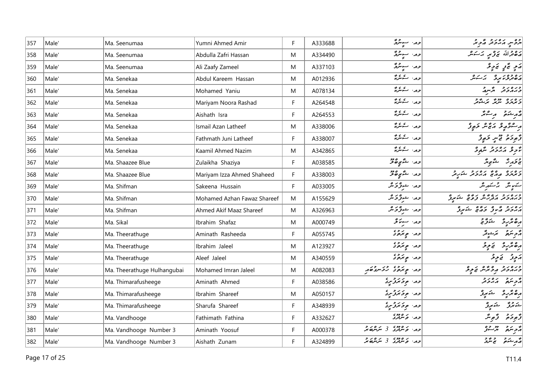| 357 | Male' | Ma. Seenumaa                | Yumni Ahmed Amir            | F  | A333688 | ادر سورچ                          | أتروس ג' و د و محمد المحمد            |
|-----|-------|-----------------------------|-----------------------------|----|---------|-----------------------------------|---------------------------------------|
| 358 | Male' | Ma. Seenumaa                | Abdulla Zafri Hassan        | M  | A334490 | دە. سەپىر <i>د</i><br>ئ           | أرَهْ قَدْاللَّهُ يَجْوَيْ بَرْسَوْشْ |
| 359 | Male' | Ma. Seenumaa                | Ali Zaafy Zameel            | M  | A337103 | ادر سوشدهٔ<br>—                   | ړَ پِه چُ پِه چَ چِ چُر               |
| 360 | Male' | Ma. Senekaa                 | Abdul Kareem Hassan         | M  | A012936 | وړ که سر                          | رە دەر بەلەر بەر<br>مەھەر دىر بەسەس   |
| 361 | Male' | Ma. Senekaa                 | Mohamed Yaniu               | M  | A078134 | وړ که سر                          | כנסנכ המינה                           |
| 362 | Male' | Ma. Senekaa                 | Mariyam Noora Rashad        | F  | A264548 | وړ که سر                          | رەرە بەير ئەمەر                       |
| 363 | Male' | Ma. Senekaa                 | Aishath Isra                | F  | A264553 | وە. سەمىر                         | لقهر ينحفو الرسفتمر                   |
| 364 | Male' | Ma. Senekaa                 | Ismail Azan Latheef         | M  | A338006 | وړ کې شر                          | ر مو په د پر د په د                   |
| 365 | Male' | Ma. Senekaa                 | Fathmath Juni Latheef       | F. | A338007 | وړ که سگه کل                      | تو دو وړې ځونو                        |
| 366 | Male' | Ma. Senekaa                 | Kaamil Ahmed Nazim          | M  | A342865 | وړ که سر                          | لأوفر متدومر المتموق                  |
| 367 | Male' | Ma. Shaazee Blue            | Zulaikha Shaziya            | F  | A038585 | ور. ڪُن <sub>گي</sub> 20          | تحكم شيرة                             |
| 368 | Male' | Ma. Shaazee Blue            | Mariyam Izza Ahmed Shaheed  | F  | A338003 | در شمې ده د                       | נסגם פני נסגר בנגד                    |
| 369 | Male' | Ma. Shifman                 | Sakeena Hussain             | F  | A033005 | در سوژونگر                        | سىرىتىل باي سىرىتىل                   |
| 370 | Male' | Ma. Shifman                 | Mohamed Azhan Fawaz Shareef | M  | A155629 | دړ. خوژ څر                        | ورەر د رەپ دىپ خىرو                   |
| 371 | Male' | Ma. Shifman                 | Ahmed Akif Maaz Shareef     | M  | A326963 | در ۱۰ سورگرمر                     | גפנק ג'ון כג'ם ביתור                  |
| 372 | Male' | Ma. Sikal                   | Ibrahim Shafaz              | M  | A000749 | دە. سىنگ                          | رەنزىر شۆر                            |
| 373 | Male' | Ma. Theerathuge             | Aminath Rasheeda            | F  | A055745 | وړ٠ م <sub>و</sub> مروء           | أزويتم تمشيقه                         |
| 374 | Male' | Ma. Theerathuge             | Ibrahim Jaleel              | M  | A123927 | وړ٠ م <sub>و</sub> مروء           | رە ئرىر ئىمز                          |
| 375 | Male' | Ma. Theerathuge             | Aleef Jaleel                | M  | A340559 | وړ٠ م <sub>و</sub> بروه<br>       | أركم وتموتم                           |
| 376 | Male' | Ma. Theerathuge Hulhangubai | Mohamed Imran Jaleel        | M  | A082083 | בתי תומת לעוד באת                 | ورەرو مەد ئىر قارچ                    |
| 377 | Male' | Ma. Thimarafusheege         | Aminath Ahmed               | F  | A038586 | وړ٠ وو ټرو ترو                    | و سره ده ده د                         |
| 378 | Male' | Ma. Thimarafusheege         | Ibrahim Shareef             | M  | A050157 | وړ٠ ووکرومرو                      | رە ئۆر ئىسىر                          |
| 379 | Male' | Ma. Thimarafusheege         | Sharufa Shareef             | F  | A348939 | وړ٠ ووکرومړ                       | شەتتى تو<br>شەمبرى                    |
| 380 | Male' | Ma. Vandhooge               | Fathimath Fathina           | F  | A332627 | ر ۵۶۵ وروپر<br><i>د</i> ړ کوسربرو | قەم قىم قىم ئى                        |
| 381 | Male' | Ma. Vandhooge Number 3      | Aminath Yoosuf              | F  | A000378 | ور وسمبری 3 شرحه د                | أرمح مترام ويتحفظ الرائيس             |
| 382 | Male' | Ma. Vandhooge Number 3      | Aishath Zunam               | F  | A324899 | בגי פיתנג 3 ייציופית              |                                       |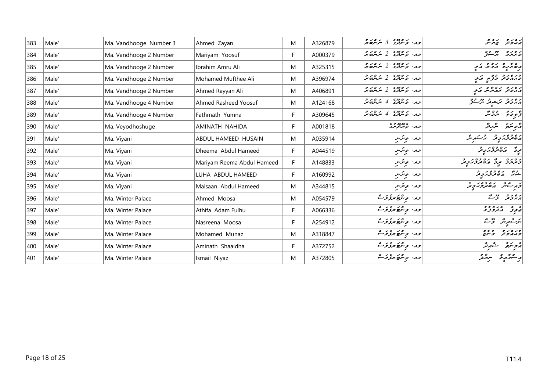| 383 | Male' | Ma. Vandhooge Number 3 | Ahmed Zayan                 | M  | A326879 | בגי פייטב 3 המים ב         | ر ه ر د<br>م.ر <del>و</del> مر<br>ىم تر نىر |
|-----|-------|------------------------|-----------------------------|----|---------|----------------------------|---------------------------------------------|
| 384 | Male' | Ma. Vandhooge 2 Number | Mariyam Yoosuf              | F. | A000379 | בגי פֿיינג 2 ייטיפיג       | پر ه پر ه<br>برسيو                          |
| 385 | Male' | Ma. Vandhooge 2 Number | Ibrahim Amru Ali            | M  | A325315 | در کوسی د شهره د           | رەپرىدە رەد كەب                             |
| 386 | Male' | Ma. Vandhooge 2 Number | Mohamed Mufthee Ali         | M  | A396974 | כגי פֿיינדי 2 ייטיפיק      | وره رو وه و ډېر                             |
| 387 | Male' | Ma. Vandhooge 2 Number | Ahmed Rayyan Ali            | M  | A406891 | בגי פֿיינג 2 ייטיפיג       | ג 2000 גם 200 ב.<br>ג ג 300 הג ה ג 300      |
| 388 | Male' | Ma. Vandhooge 4 Number | <b>Ahmed Rasheed Yoosuf</b> | M  | A124168 | در ومربرد 4 سرمورد         | رور د بر <sub>شو</sub> تر اگر سو            |
| 389 | Male' | Ma. Vandhooge 4 Number | Fathmath Yumna              | F. | A309645 | در ومربرد 4 سرمورد         | تح برد ده ش                                 |
| 390 | Male' | Ma. Veyodhoshuge       | AMINATH NAHIDA              | F. | A001818 | ه پر در ده<br>در و د تر در | أثر حر سور محمد متر                         |
| 391 | Male' | Ma. Viyani             | ABDUL HAMEED HUSAIN         | M  | A035914 | دړ٠ و ټرس                  | رەپ <i>دەپ جاستىر</i> ش                     |
| 392 | Male' | Ma. Viyani             | Dheema Abdul Hameed         | F. | A044519 | دړ٠ و ټرس                  | مرة صمصر حدد حد                             |
| 393 | Male' | Ma. Viyani             | Mariyam Reema Abdul Hameed  | F. | A148833 | وړ ویژس                    | במתכ תַּכ גַפּעֲבְבְבַב                     |
| 394 | Male' | Ma. Viyani             | LUHA ABDUL HAMEED           | F. | A160992 | در و تر سر                 | دو پره دوبر د                               |
| 395 | Male' | Ma. Viyani             | Maisaan Abdul Hameed        | M  | A344815 | ورس وترس                   | كەرشى مەمدىرىدى                             |
| 396 | Male' | Ma. Winter Palace      | Ahmed Moosa                 | M  | A054579 | دە. بە ئۇغەرىز ئۆگ         | بر ہ ر د<br>مرکز فر<br>د معتبر              |
| 397 | Male' | Ma. Winter Palace      | Athifa Adam Fulhu           | F. | A066336 | دە. بەللىقىمەتىرىك         | أصموقر المتروح والمحمد                      |
| 398 | Male' | Ma. Winter Palace      | Nasreena Moosa              | F. | A254912 | حەر، ئۆستى ئەركە ئوسكە     | يرك يرينز المحرك مع                         |
| 399 | Male' | Ma. Winter Palace      | Mohamed Munaz               | M  | A318847 | دە. بەشھەرۇكۇر             | و رە ر د<br><i>د ب</i> رگرىز<br>- رسر بر    |
| 400 | Male' | Ma. Winter Palace      | Aminath Shaaidha            | F. | A372752 | دە. ئەسقە ئەزىر م          | أثر تردم الشمر تكر                          |
| 401 | Male' | Ma. Winter Palace      | Ismail Niyaz                | M  | A372805 | در. وبرگارگرگ              | مستوضفي سورقر                               |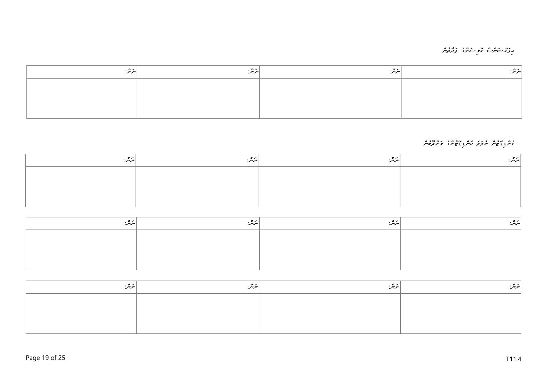## *w7qAn8m? sCw7mRo>u; wEw7mRw;sBo<*

| ' مرمر | 'يئرىثر: |
|--------|----------|
|        |          |
|        |          |
|        |          |

## *w7q9r@w7m> sCw7qHtFoFw7s; mAm=q7 w7qHtFoFw7s;*

| ىر تە | $\mathcal{O} \times$<br>$\sim$ | $\sim$<br>. . | لترنثر |
|-------|--------------------------------|---------------|--------|
|       |                                |               |        |
|       |                                |               |        |
|       |                                |               |        |

| $\frac{2}{n}$ | $\overline{\phantom{a}}$ | اير هنه. | $\mathcal{O} \times$<br>سرسر |
|---------------|--------------------------|----------|------------------------------|
|               |                          |          |                              |
|               |                          |          |                              |
|               |                          |          |                              |

| ' ئىرتىر: | سر سر |  |
|-----------|-------|--|
|           |       |  |
|           |       |  |
|           |       |  |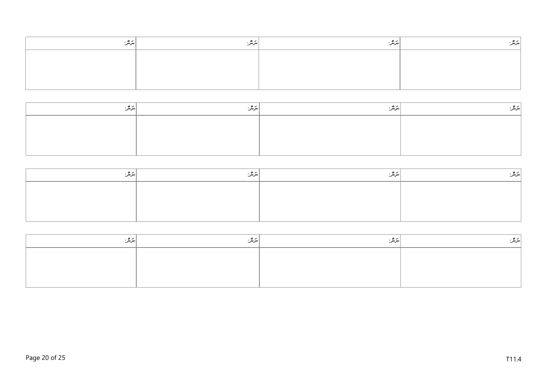| يزهر | $^{\circ}$ | ىئرىتر: |  |
|------|------------|---------|--|
|      |            |         |  |
|      |            |         |  |
|      |            |         |  |

| متريثر به | 。<br>'سرسر'۔ | يتزيترا | سرسر |
|-----------|--------------|---------|------|
|           |              |         |      |
|           |              |         |      |
|           |              |         |      |

| ىر تە | $\sim$ | ا بر هر: | $^{\circ}$<br>' سرسر. |
|-------|--------|----------|-----------------------|
|       |        |          |                       |
|       |        |          |                       |
|       |        |          |                       |

| 。<br>مرس. | $\overline{\phantom{a}}$<br>مر مىر | يتريثر |
|-----------|------------------------------------|--------|
|           |                                    |        |
|           |                                    |        |
|           |                                    |        |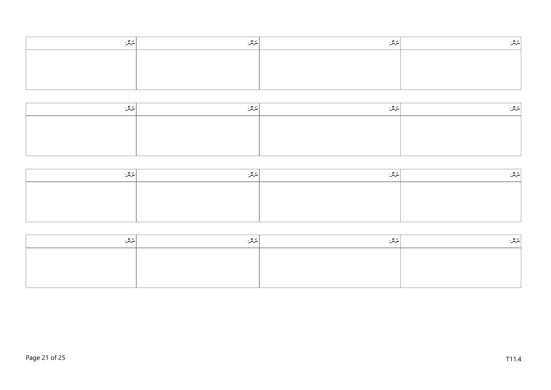| ير هو . | $\overline{\phantom{a}}$ | يرمر | اير هنه. |
|---------|--------------------------|------|----------|
|         |                          |      |          |
|         |                          |      |          |
|         |                          |      |          |

| ىبرىر. | $\sim$<br>ا سرسر . | يئرمثر | o . |
|--------|--------------------|--------|-----|
|        |                    |        |     |
|        |                    |        |     |
|        |                    |        |     |

| 'تترنثر: | . .<br>يسمونس. |  |
|----------|----------------|--|
|          |                |  |
|          |                |  |
|          |                |  |

|  | . ه |
|--|-----|
|  |     |
|  |     |
|  |     |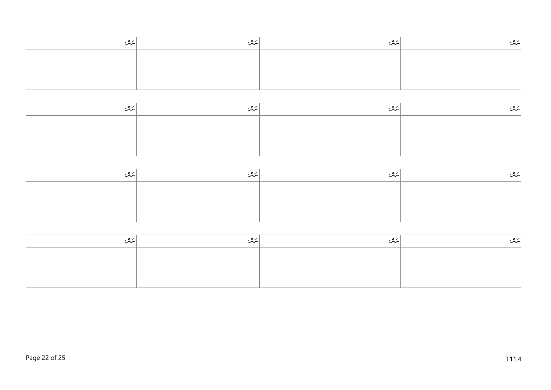| ير هو . | $\overline{\phantom{a}}$ | يرمر | اير هنه. |
|---------|--------------------------|------|----------|
|         |                          |      |          |
|         |                          |      |          |
|         |                          |      |          |

| ىرتىر: | $\circ$ $\sim$<br>ا سرسر. | يئرمير | o . |
|--------|---------------------------|--------|-----|
|        |                           |        |     |
|        |                           |        |     |
|        |                           |        |     |

| 'تترنثر: | ر ه |  |
|----------|-----|--|
|          |     |  |
|          |     |  |
|          |     |  |

|  | . ه |
|--|-----|
|  |     |
|  |     |
|  |     |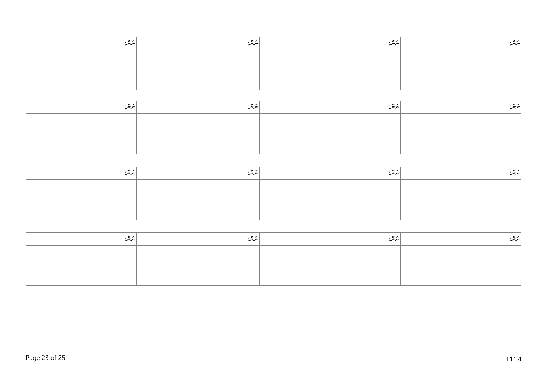| ير هو . | $\overline{\phantom{a}}$ | يرمر | اير هنه. |
|---------|--------------------------|------|----------|
|         |                          |      |          |
|         |                          |      |          |
|         |                          |      |          |

| ايرعر: | ر ه<br>. . |  |
|--------|------------|--|
|        |            |  |
|        |            |  |
|        |            |  |

| بر ه | . ه | $\sim$<br>سرسر |  |
|------|-----|----------------|--|
|      |     |                |  |
|      |     |                |  |
|      |     |                |  |

| 。<br>. س | ىرىىر |  |
|----------|-------|--|
|          |       |  |
|          |       |  |
|          |       |  |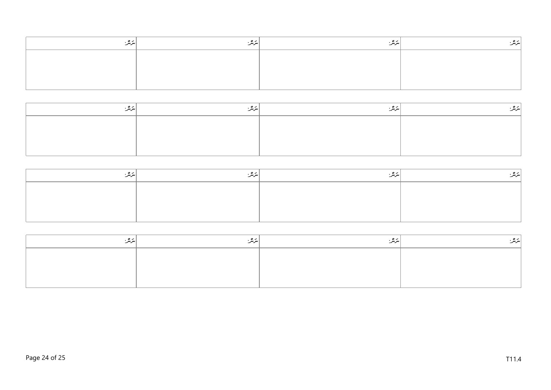| ير هو . | $\overline{\phantom{a}}$ | يرمر | اير هنه. |
|---------|--------------------------|------|----------|
|         |                          |      |          |
|         |                          |      |          |
|         |                          |      |          |

| ىبرىر. | $\sim$<br>ا سرسر . | يئرمثر | o . |
|--------|--------------------|--------|-----|
|        |                    |        |     |
|        |                    |        |     |
|        |                    |        |     |

| انترنثر: | ر ه |  |
|----------|-----|--|
|          |     |  |
|          |     |  |
|          |     |  |

|  | . ه |
|--|-----|
|  |     |
|  |     |
|  |     |